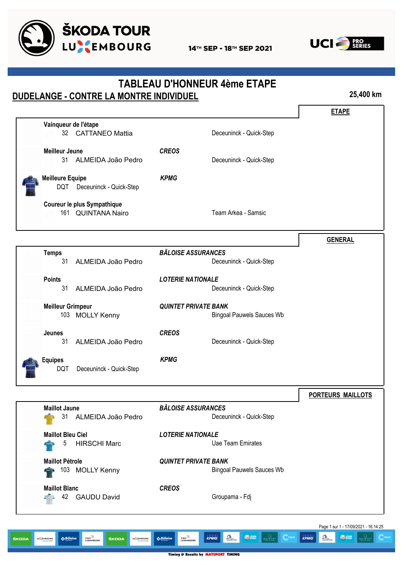



# **TABLEAU D'HONNEUR 4ème ETAPE DUDELANGE - CONTRE LA MONTRE INDIVIDUEL 25,400 km ETAPE Vainqueur de l'étape** 32 CATTANEO Mattia **Deceuninck - Quick-Step Meilleur Jeune** *CREOS* 31 ALMEIDA João Pedro Deceuninck - Quick-Step **Meilleure Equipe** *KPMG* DQT Deceuninck - Quick-Step **Coureur le plus Sympathique** 161 QUINTANA Nairo **Team Arkea - Samsic GENERAL Temps** *BÄLOISE ASSURANCES* 31 ALMEIDA João Pedro Deceuninck - Quick-Step **Points** *LOTERIE NATIONALE* 31 ALMEIDA João Pedro Deceuninck - Quick-Step **Meilleur Grimpeur** *QUINTET PRIVATE BANK* 103 MOLLY Kenny **Bingoal Pauwels Sauces Wb Jeunes** *CREOS* 31 ALMEIDA João Pedro Deceuninck - Quick-Step **Equipes** *KPMG* DQT Deceuninck - Quick-Step **PORTEURS MAILLOTS Maillot Jaune** *BÂLOISE ASSURANCES* 31 ALMEIDA João Pedro Deceuninck - Quick-Step **Maillot Bleu Ciel** *LOTERIE NATIONALE* 5 HIRSCHI Marc **Uae Team Emirates Maillot Pétrole** *QUINTET PRIVATE BANK* 103 MOLLY Kenny **Bingoal Pauwels Sauces Wb Maillot Blanc** *CREOS* 42 GAUDU David Groupama - Fdj

Page 1 sur 1 - 17/09/2021 - 16:14:25VISIT<sup>32</sup> KPMG 瓜 KPMG UNTE.<br>UINTE **ABâlois** LU<sup>1</sup>CEMBOURG **ABâlois** ŠKODA **LU<sup>S</sup>(EMBOURG** 

Timing & Results by **MATSPORT** TIMING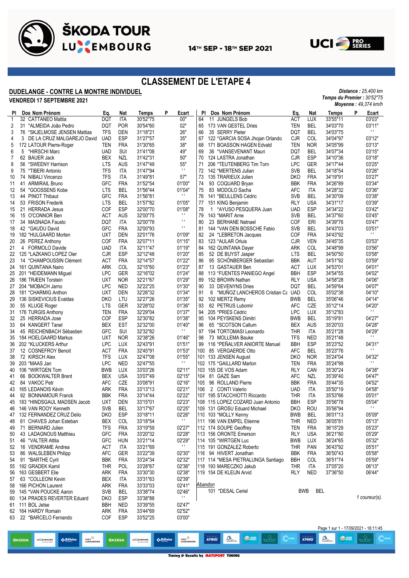

VISIT<sup>3</sup>

ŠKODA

**LU<sup>S</sup>EMBOURG** 

**ABâloise** 

**LUCCEMBOURG** 

ŠKODA

**AB**âloise



## **CLASSEMENT DE L'ETAPE 4**

#### **DUDELANGE - CONTRE LA MONTRE INDIVIDUEL**

*Distance : 25,400 km Temps du Premier : 30'52"75*

|     | VENDREDI 17 SEPTEMBRE 2021   |            |            |              |   |                        |         |                                    |            |            |              | <b>Temps du Premier : 30'52"75</b><br>Moyenne: 49,374 km/h |
|-----|------------------------------|------------|------------|--------------|---|------------------------|---------|------------------------------------|------------|------------|--------------|------------------------------------------------------------|
| PI. | Dos Nom Prénom               | Eq.        | Nat        | <b>Temps</b> | P | Ecart                  | PI      | Dos Nom Prénom                     | Eq.        | Nat        | <b>Temps</b> | P<br>Ecart                                                 |
| 1   | 32 CATTANEO Mattia           | <b>DQT</b> | <b>ITA</b> | 30'52"75     |   | 00"                    | 64      | 11 JUNGELS Bob                     | ACT        | LUX        | 33'55"11     | 03'03"                                                     |
| 2   | 31 *ALMEIDA João Pedro       | DQT        | <b>POR</b> | 30'54"60     |   | 02"                    | 65      | 173 VAN GESTEL Dries               | TEN        | <b>BEL</b> | 34'03"70     | 03'11"                                                     |
| 3   | 76 *SKJELMOSE JENSEN Mattias | <b>TFS</b> | DEN        | 31'18"21     |   | 26"                    | 66      | 35 SERRY Pieter                    | DQT        | <b>BEL</b> | 34'03"75     | $\mathbf{H}$                                               |
| 4   | 3 DE LA CRUZ MALGAREJO David | <b>UAD</b> | <b>ESP</b> | 31'27"57     |   | 35"                    | 67      | 122 *GARCIA SOSA Jhojan Orlando    | CJR        | COL        | 34'04"97     | 03'12"                                                     |
| 5   | 172 LATOUR Pierre-Roger      | TEN        | <b>FRA</b> | 31'30"65     |   | 38"                    | 68      | 171 BOASSON HAGEN Edvald           | TEN        | <b>NOR</b> | 34'05"99     | 03'13"                                                     |
| 6   | 5 *HIRSCHI Marc              | <b>UAD</b> | SUI        | 31'41"08     |   | 49"                    | 69      | 36 *VANSEVENANT Mauri              | DQT        | <b>BEL</b> | 34'07"34     | 03'15"                                                     |
| 7   | 62 BAUER Jack                | BEX        | NZL        | 31'42"31     |   | 50"                    | 70      | 124 LASTRA Jonathan                | <b>CJR</b> | <b>ESP</b> | 34'10"36     | 03'18"                                                     |
| 8   | 56 *SWEENY Harrison          | <b>LTS</b> | AUS        | 31'47"49     |   | 55"                    | 71      | 206 *TEUTENBERG Tim Torn           | LPC        | <b>GER</b> | 34'17"44     | 03'25"                                                     |
| 9   | 75 *TIBERI Antonio           | <b>TFS</b> | <b>ITA</b> | 31'47"94     |   | $\mathbf{r}$ .         | 72      | 142 *MERTENS Julian                | <b>SVB</b> | <b>BEL</b> | 34'18"54     | 03'26"                                                     |
| 10  | 74 NIBALI Vincenzo           | <b>TFS</b> | <b>ITA</b> | 31'49"81     |   | 57"                    | 73      | 135 TRARIEUX Julien                | DKO        | <b>FRA</b> | 34'19"91     | 03'27"                                                     |
| 11  | 41 ARMIRAIL Bruno            | GFC        | <b>FRA</b> | 31'52"54     |   | 01'00"                 | 74      | 93 COQUARD Bryan                   | <b>BBK</b> | <b>FRA</b> | 34'26"89     | 03'34"                                                     |
| 12  | 54 *GOOSSENS Kobe            | <b>LTS</b> | BEL        | 31'56"44     |   | 01'04"                 | 75      | 83 MODOLO Sacha                    | AFC        | ITA        | 34'28"32     | 03'36"                                                     |
|     |                              |            |            |              |   | $\mathbf{r}$ .         |         |                                    |            |            |              |                                                            |
| 13  | 44 PINOT Thibaut             | GFC        | <b>FRA</b> | 31'56"81     |   |                        | 76      | 141 *BEULLENS Cédric               | <b>SVB</b> | <b>BEL</b> | 34'30"09     | 03'38"                                                     |
| 14  | 53 FRISON Frederik           | <b>LTS</b> | <b>BEL</b> | 31'57"82     |   | 01'05"                 | 77      | 151 KING Benjamin                  | <b>RLY</b> | <b>USA</b> | 34'31"17     | 03'39"                                                     |
| 15  | 21 HERRADA Jesus             | COF        | <b>ESP</b> | 32'00"70     |   | 01'08"<br>$\mathbf{r}$ | 78      | 1 *AYUSO PESQUERA Juan             | <b>UAD</b> | <b>ESP</b> | 34'34"22     | 03'42"                                                     |
| 16  | 15 O'CONNOR Ben              | <b>ACT</b> | AUS        | 32'00"75     |   |                        | 79      | 143 *MARIT Arne                    | <b>SVB</b> | BEL        | 34'37"60     | 03'45"                                                     |
| 17  | 34 MASNADA Fausto            | <b>DQT</b> | <b>ITA</b> | 32'00"78     |   | $\mathbf{H}$           | 80      | 23 BERHANE Natnael                 | COF        | ERI        | 34'39"76     | 03'47"                                                     |
| 18  | 42 *GAUDU David              | <b>GFC</b> | <b>FRA</b> | 32'00"93     |   | $\mathbf{H}$           | 81      | 144 *VAN DEN BOSSCHE Fabio         | <b>SVB</b> | <b>BEL</b> | 34'43"03     | 03'51"                                                     |
| 19  | 182 *HULGAARD Morten         | <b>UXT</b> | <b>DEN</b> | 32'01"76     |   | 01'09"                 | 82      | 24 *LEBRETON Jacques               | COF        | <b>FRA</b> | 34'43"92     | $\mathbf{H}$                                               |
| 20  | 26 PEREZ Anthony             | COF        | <b>FRA</b> | 32'07"11     |   | 01'15"                 | 83      | 123 *AULAR Orluis                  | CJR        | <b>VEN</b> | 34'45"35     | 03'53"                                                     |
| 21  | 4 FORMOLO Davide             | <b>UAD</b> | ITA        | 32'11"47     |   | 01'19"                 | 84      | 162 QUINTANA Dayer                 | ARK        | COL        | 34'48"99     | 03'56"                                                     |
| 22  | 125 *LAZKANO LOPEZ Oier      | <b>CJR</b> | <b>ESP</b> | 32'12"48     |   | 01'20"                 | 85      | 52 DE BUYST Jasper                 | <b>LTS</b> | BEL        | 34'50"50     | 03'58"                                                     |
| 23  | 14 *CHAMPOUSSIN Clément      | ACT        | <b>FRA</b> | 32'14"57     |   | 01'22"                 | 86      | 95 SCHÖNBERGER Sebastian           | BBK        | AUT        | 34'51"92     | 03'59"                                                     |
| 24  | 161 QUINTANA Nairo           | <b>ARK</b> | COL        | 32'15"60     |   | 01'23"                 | 87      | 13 GASTAUER Ben                    | <b>ACT</b> | LUX        | 34'53"01     | 04'01"                                                     |
| 25  | 201 *HEIDEMANN Miguel        | <b>LPC</b> | <b>GER</b> | 32'16"02     |   | 01'24"                 | 88      | 113 *FUENTES PANIEGO Angel         | BBH        | <b>ESP</b> | 34'54"55     | 04'02"                                                     |
| 26  | 186 TRÆEN Torstein           | <b>UXT</b> | <b>NOR</b> | 32'21"67     |   | 01'29"                 | 89      | 152 BROWN Nathan                   | <b>RLY</b> | <b>USA</b> | 34'58"28     | 04'06"                                                     |
|     | 27 204 *MOBACH Jarno         | <b>LPC</b> | <b>NED</b> | 32'22"25     |   | 01'30"                 | 90      | 33 DEVENYNS Dries                  | <b>DQT</b> | <b>BEL</b> | 34'59"64     | 04'07"                                                     |
| 28  | 181 *CHARMIG Anthon          | <b>UXT</b> | <b>DEN</b> | 32'26"32     |   | 01'34"                 | 91      | 6 *MUÑOZ LANCHEROS Cristian Ca UAD |            | COL        | 35'02"38     | 04'10"                                                     |
| 29  | 136 SISKEVICIUS Evaldas      | DKO        | LTU        | 32'27"26     |   | 01'35"                 | 92      | 102 MERTZ Remy                     | BWB        | <b>BEL</b> | 35'06"46     | 04'14"                                                     |
| 30  | 55 KLUGE Roger               | <b>LTS</b> | GER        | 32'28"02     |   | 01'36"                 | 93      | 82 PETRUS Lubomir                  | <b>AFC</b> | CZE        | 35'12"14     | 04'20"                                                     |
|     |                              |            |            |              |   | 01'37"                 |         |                                    | <b>LPC</b> |            |              | 11.                                                        |
| 31  | 176 TURGIS Anthony           | TEN        | <b>FRA</b> | 32'29"04     |   |                        | 94      | 205 *PRIES Cédric                  |            | LUX        | 35'12"83     |                                                            |
| 32  | 25 HERRADA Jose              | COF        | <b>ESP</b> | 32'30"82     |   | 01'38"                 | 95      | 104 PEYSKENS Dimitri               | <b>BWB</b> | <b>BEL</b> | 35'19"81     | 04'27"                                                     |
| 33  | 64 KANGERT Tanel             | BEX        | EST        | 32'32"00     |   | 01'40"<br>$\mathbf{H}$ | 96      | 65 *SCOTSON Callum                 | BEX        | <b>AUS</b> | 35'20"03     | 04'28"                                                     |
| 34  | 45 REICHENBACH Sébastien     | GFC        | <b>SUI</b> | 32'32"82     |   |                        | 97      | 194 TORTOMASI Leonardo             | <b>THR</b> | <b>ITA</b> | 35'21"28     | 04'29"                                                     |
| 35  | 184 HOELGAARD Markus         | <b>UXT</b> | <b>NOR</b> | 32'38"26     |   | 01'46"                 | 98      | 73 MOLLEMA Bauke                   | <b>TFS</b> | <b>NED</b> | 35'21"48     | 11.                                                        |
| 36  | 202 *KLUCKERS Arthur         | <b>LPC</b> | <b>LUX</b> | 32'43"91     |   | 01'51"                 | 99      | 116 *PEÑALVER ANIORTE Manuel       | <b>BBH</b> | <b>ESP</b> | 35'23"52     | 04'31"                                                     |
| 37  | 12 COSNEFROY Benoit          | <b>ACT</b> | <b>FRA</b> | 32'45"91     |   | 01'53"                 |         | 100 85 VERGAERDE Otto              | <b>AFC</b> | <b>BEL</b> | 35'23"76     | $\mathbf{H}$                                               |
| 38  | 72 KIRSCH Alex               | <b>TFS</b> | LUX        | 32'47"08     |   | 01'55"                 |         | 101 133 JENSEN August              | DKO        | <b>NOR</b> | 35'24"04     | 04'32"                                                     |
| 39  | 203 *MAAS Jan                | LPC        | <b>NED</b> | 32'47"55     |   | $\mathbf{H}$           |         | 102 175 *GAILLARD Marlon           | TEN        | <b>FRA</b> | 35'24"99     | $\mathbf{H}$                                               |
| 40  | 106 *WIRTGEN Tom             | <b>BWB</b> | <b>LUX</b> | 33'03"26     |   | 02'11"                 |         | 103 155 DE VOS Adam                | RLY        | CAN        | 35'30"24     | 04'38"                                                     |
| 41  | 66 BOOKWALTER Brent          | BEX        | <b>USA</b> | 33'07"49     |   | 02'15"                 | 104     | 81 GAZE Sam                        | AFC        | <b>NZL</b> | 35'39"40     | 04'47"                                                     |
| 42  | 84 VAKOC Petr                | AFC        | CZE        | 33'08"91     |   | 02'16"                 | 105     | 96 ROLLAND Pierre                  | BBK        | <b>FRA</b> | 35'44"35     | 04'52"                                                     |
| 43  | 165 LEDANOIS Kévin           | ARK        | <b>FRA</b> | 33'13"13     |   | 02'21"                 | 106     | 2 CONTI Valerio                    | <b>UAD</b> | ITA        | 35'50"19     | 04'58"                                                     |
| 44  | 92 BONNAMOUR Franck          | <b>BBK</b> | <b>FRA</b> | 33'14"44     |   | 02'22"                 |         | 107 195 STACCHIOTTI Riccardo       | <b>THR</b> | <b>ITA</b> | 35'53"66     | 05'01"                                                     |
| 45  | 183 *HINDSGAUL MADSEN Jacob  | UXT        | <b>DEN</b> | 33'15"01     |   | 02'23"                 |         | 108 115 LOPEZ COZARD Juan Antonio  | <b>BBH</b> | <b>ESP</b> | 35'56"78     | 05'04"                                                     |
| 46  | 146 VAN ROOY Kenneth         | <b>SVB</b> | <b>BEL</b> | 33'17"67     |   | 02'25"                 |         | 109 131 GROSU Eduard Michael       | <b>DKO</b> | <b>ROU</b> | 35'56"94     | $\mathbf{H}$                                               |
| 47  | 132 FERNANDEZ CRUZ Delio     | DKO        | <b>ESP</b> | 33'18"11     |   | 02'26"                 |         | 110 103 *MOLLY Kenny               | <b>BWB</b> | <b>BEL</b> | 36'01"13     | 05'09"                                                     |
| 48  | 61 CHAVES Johan Esteban      | BEX        | COL        | 33'18"54     |   | п.                     |         | 111 196 VAN EMPEL Etienne          | <b>THR</b> | <b>NED</b> | 36'05"81     | 05'13"                                                     |
| 49  | 71 BERNARD Julien            | <b>TFS</b> | <b>FRA</b> | 33'19"59     |   | 02'27"                 |         | 112 174 SOUPE Geoffrey             | <b>TEN</b> | <b>FRA</b> | 36'15"29     | 05'23"                                                     |
| 50  | 43 LADAGNOUS Matthieu        | GFC        | <b>FRA</b> | 33'20"32     |   | 02'28"                 |         | 113 156 ORONTE Emerson             | <b>RLY</b> | <b>USA</b> | 36'21"80     | 05'29"                                                     |
| 51  | 46 *VALTER Attila            | GFC        | HUN        | 33'21"14     |   | 02'29"                 |         | 114 105 *WIRTGEN Luc               | <b>BWB</b> | LUX        | 36'24"65     | 05'32"                                                     |
|     | 16 VENDRAME Andrea           | ACT        | ITA        | 33'21"69     |   | п.                     |         | 115 191 GONZALEZ Roberto           | THR        | <b>PAN</b> | 36'43"92     | 05'51"                                                     |
| 52  |                              |            |            |              |   |                        |         |                                    |            |            |              |                                                            |
| 53  | 86 WALSLEBEN Philipp         | AFC        | <b>GER</b> | 33'22"39     |   | 02'30"                 |         | 116 94 HIVERT Jonathan             | BBK        | <b>FRA</b> | 36'50"43     | 05'58"                                                     |
| 54  | 91 *BARTHE Cyril             | <b>BBK</b> | <b>FRA</b> | 33'24"34     |   | 02'32"                 |         | 117 114 *MESA PIETRALUNGA Santiago | <b>BBH</b> | COL        | 36'51"74     | 05'59"                                                     |
| 55  | 192 GRADEK Kamil             | <b>THR</b> | <b>POL</b> | 33'28"67     |   | 02'36"                 |         | 118 193 MARECZKO Jakub             | THR        | ITA        | 37'05"20     | 06'13"                                                     |
| 56  | 163 GESBERT Elie             | ARK        | <b>FRA</b> | 33'30"30     |   | 02'38"                 |         | 119 154 DE KLEIJN Arvid            | <b>RLY</b> | <b>NED</b> | 37'36"50     | 06'44"                                                     |
| 57  | 63 *COLLEONI Kevin           | BEX        | ITA        | 33'31"63     |   | 02'39"                 |         |                                    |            |            |              |                                                            |
| 58  | 166 PICHON Laurent           | ARK        | <b>FRA</b> | 33'33"03     |   | 02'41"                 | Abandon |                                    |            |            |              |                                                            |
|     | 59 145 *VAN POUCKE Aaron     | <b>SVB</b> | BEL        | 33'38"74     |   | 02'46"                 |         | 101 *DESAL Ceriel                  | <b>BWB</b> |            | <b>BEL</b>   |                                                            |
| 60  | 134 PRADES REVERTER Eduard   | <b>DKO</b> | ESP        | 33'38"88     |   | $\mathbf{H}$           |         |                                    |            |            |              | 1 coureur(s).                                              |
|     | 61 111 BOL Jetse             | <b>BBH</b> | <b>NED</b> | 33'39"55     |   | 02'47"                 |         |                                    |            |            |              |                                                            |
| 62  | 164 HARDY Romain             | ARK        | <b>FRA</b> | 33'44"69     |   | 02'52"                 |         |                                    |            |            |              |                                                            |
| 63  | 22 *BARCELO Fernando         | COF        | ESP        | 33'52"25     |   | 03'00"                 |         |                                    |            |            |              |                                                            |
|     |                              |            |            |              |   |                        |         |                                    |            |            |              |                                                            |
|     |                              |            |            |              |   |                        |         |                                    |            |            |              | Page 1 sur 1 - 17/09/2021 - 16:11:45                       |

VISIT<sup>32</sup>

 $KPMG$ 

 $\bigcirc$  to the  $\bigcirc$ 

垂

KPMG

Ccreos

 $\bigcirc$ 

 $\mathbb{C}$ cred

盛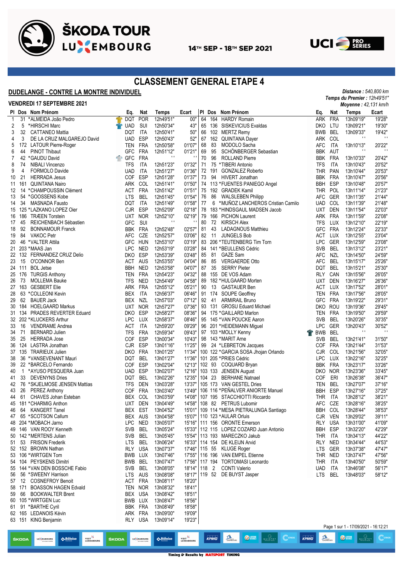



## **CLASSEMENT GENERAL ETAPE 4**

#### **DUDELANGE - CONTRE LA MONTRE INDIVIDUEL**

| VENDREDI 17 SEPTEMBRE 2021 |  |  |  |  |  |
|----------------------------|--|--|--|--|--|
|----------------------------|--|--|--|--|--|

*Distance : 540,800 km Temps du Premier : 12h49'51" Moyenne : 42,131 km/h*

|              |              | VENUREUI 17 SEPTEMBRE ZUZT                                              |              |                 |                   |                   |                     |    |       |     |                                                                                 |               |                              |            | <b>Moyenne :</b> 42,131 km/l         |                |
|--------------|--------------|-------------------------------------------------------------------------|--------------|-----------------|-------------------|-------------------|---------------------|----|-------|-----|---------------------------------------------------------------------------------|---------------|------------------------------|------------|--------------------------------------|----------------|
|              |              | PI Dos Nom Prénom                                                       |              | Eq.             | Nat               | Temps             | Ecart               |    |       |     | PI Dos Nom Prénom                                                               |               | Eq.                          | Nat        | <b>Temps</b>                         | Ecart          |
| $\mathbf{1}$ |              | 31 *ALMEIDA João Pedro                                                  |              | DQT             | <b>POR</b>        | 12h49'51"         | 00"                 | 64 |       |     | 164 HARDY Romain                                                                |               |                              | ARK FRA    | 13h09'19"                            | 19'28"         |
| 2            | 5            | *HIRSCHI Marc                                                           | $\mathbf{T}$ | UAD             | SUI               | 12h50'34"         | 43"                 |    |       |     | 65 136 SISKEVICIUS Evaldas                                                      |               |                              | DKO LTU    | 13h09'21"                            | 19'30"         |
| 3            | 32           | <b>CATTANEO Mattia</b>                                                  |              | <b>DQT</b>      | ITA               | 12h50'41"         | 50"                 | 66 |       |     | 102 MERTZ Remy                                                                  |               | <b>BWB</b>                   | BEL        | 13h09'33"                            | 19'42"         |
| 4            | 3            | DE LA CRUZ MALGAREJO David                                              |              | <b>UAD</b>      | <b>ESP</b>        | 12h50'43"         | 52"                 |    |       |     | 67 162 QUINTANA Dayer                                                           |               |                              | ARK COL    | $\pm$                                | $\blacksquare$ |
| 5            |              | 172 LATOUR Pierre-Roger                                                 |              | TEN             | FRA               | 12h50'58"         | 01'07"              | 68 |       | 83  | MODOLO Sacha                                                                    |               | AFC                          | ITA        | 13h10'13"                            | 20'22"         |
| 6            | 44           | <b>PINOT Thibaut</b>                                                    |              | <b>GFC</b>      | <b>FRA</b>        | 12h51'12"         | 01'21"              | 69 |       | 95  | SCHÖNBERGER Sebastian                                                           |               |                              | BBK AUT    | $\pm$                                | $\pm$          |
| 7            |              | 42 *GAUDU David                                                         |              | $\bigoplus$ GFC | <b>FRA</b>        | $\pm$             | $\mathbf{H}$        | 70 |       | 96  | <b>ROLLAND Pierre</b>                                                           |               |                              | BBK FRA    | 13h10'33"                            | 20'42"         |
| 8            | 74           | <b>NIBALI Vincenzo</b>                                                  |              | <b>TFS</b>      | ITA               | 12h51'23"         | 01'32"              | 71 |       |     | 75 *TIBERI Antonio                                                              |               | <b>TFS</b>                   | ITA        | 13h10'43"                            | 20'52"         |
| 9            | 4            | FORMOLO Davide                                                          |              | <b>UAD</b>      | ITA               | 12h51'27"         | 01'36"              |    |       |     | 72 191 GONZALEZ Roberto                                                         |               |                              | THR PAN    | 13h10'44"                            | 20'53"         |
| 10           | 21           | <b>HERRADA Jesus</b>                                                    |              | COF             | <b>ESP</b>        | 12h51'28"         | 01'37"              | 73 |       |     | 94 HIVERT Jonathan                                                              |               |                              | BBK FRA    | 13h10'47"                            | 20'56"         |
| 11           | 161          | <b>QUINTANA Nairo</b>                                                   |              | ARK             | COL               | 12h51'41"         | 01'50"              |    |       |     | 74 113 *FUENTES PANIEGO Angel                                                   |               | <b>BBH</b>                   | <b>ESP</b> | 13h10'48"                            | 20'57"         |
| 12           |              | 14 * CHAMPOUSSIN Clément                                                |              |                 | ACT FRA           | 12h51'42"         | 01'51"              |    |       |     | 75 192 GRADEK Kamil                                                             |               |                              | THR POL    | 13h11'14"                            | 21'23"         |
| 13           | 54           | *GOOSSENS Kobe                                                          |              | <b>LTS</b>      | <b>BEL</b>        | 12h51'45"         | 01'54"              | 76 |       |     | 86 WALSLEBEN Philipp                                                            |               | AFC                          | GER        | 13h11'35"                            | 21'44"         |
| 14           | 34           | <b>MASNADA Fausto</b>                                                   |              | DQT             | ITA               | 12h51'49"         | 01'58"              | 77 |       |     | 6 *MUÑOZ LANCHEROS Cristian Camilo                                              |               | <b>UAD</b>                   | COL        | 13h11'39"                            | 21'48"         |
| 15           |              | 125 *LAZKANO LOPEZ Oier                                                 |              | <b>CJR</b>      | ESP               | 12h52'09"         | 02'18"              |    |       |     | 78 183 *HINDSGAUL MADSEN Jacob                                                  |               | <b>UXT</b>                   | <b>DEN</b> | 13h11'54"                            | 22'03"         |
| 16           |              | 186 TRÆEN Torstein                                                      |              | UXT             | <b>NOR</b>        | 12h52'10"         | 02'19"              |    |       |     | 79 166 PICHON Laurent                                                           |               |                              | ARK FRA    | 13h11'59"                            | 22'08"         |
| 17           | 45           | REICHENBACH Sébastien                                                   |              | <b>GFC</b>      | SUI               | $\mathbf{H}$      | $\mathbf{L}$        | 80 |       |     | 72 KIRSCH Alex                                                                  |               | <b>TFS</b>                   | LUX        | 13h12'10"                            | 22'19"         |
| 18           | 92           | <b>BONNAMOUR Franck</b>                                                 |              |                 | BBK FRA           | 12h52'48"         | 02'57"              | 81 |       | 43  | <b>LADAGNOUS Matthieu</b>                                                       |               | <b>GFC</b>                   | <b>FRA</b> | 13h12'24"                            | 22'33"         |
| 19           | 84           | VAKOC Petr                                                              |              | <b>AFC</b>      | CZE               | 12h52'57"         | 03'06"              |    | 82 11 |     | JUNGELS Bob                                                                     |               |                              | ACT LUX    | 13h12'55"                            | 23'04"         |
| 20           |              | 46 *VALTER Attila                                                       |              | <b>GFC</b>      | HUN               | 12h53'10"         | 03'19"              | 83 |       |     | 206 *TEUTENBERG Tim Torn                                                        |               | LPC                          | GER        | 13h12'59"                            | 23'08"         |
| 21           |              | 203 *MAAS Jan                                                           |              | <b>LPC</b>      | NED               | 12h53'19"         | 03'28"              |    |       |     | 84 141 *BEULLENS Cédric                                                         |               | <b>SVB</b>                   | BEL        | 13h13'12"                            | 23'21"         |
|              |              | 22 132 FERNANDEZ CRUZ Delio                                             |              | <b>DKO</b>      | ESP               | 12h53'39"         | 03'48"              | 85 |       | 81  | <b>GAZE Sam</b>                                                                 |               | AFC                          | NZL        | 13h14'50"                            | 24'59"         |
| 23           | 15           | O'CONNOR Ben                                                            |              |                 | ACT AUS           | 12h53'55'         | 04'04"              | 86 |       | 85  | <b>VERGAERDE Otto</b>                                                           |               | AFC                          | BEL        | 13h15'17"                            | 25'26"         |
|              |              | 24 111 BOL Jetse                                                        |              | BBH             | NED               | 12h53'58"         | 04'07"              | 87 |       |     | 35 SERRY Pieter                                                                 |               | DQT                          | BEL        | 13h15'21"                            | 25'30"         |
|              |              | 25 176 TURGIS Anthony                                                   |              | <b>TEN</b>      | <b>FRA</b>        | 12h54'23"         | 04'32"              |    |       |     | 88 155 DE VOS Adam                                                              |               | <b>RLY</b>                   | CAN        | 13h15'56"                            | 26'05"         |
| 26           | 73           | <b>MOLLEMA Bauke</b>                                                    |              | <b>TFS</b>      | NED               | 12h54'49"         | 04'58"              | 89 |       |     | 182 *HULGAARD Morten                                                            |               | UXT                          | DEN        | 13h16'27"                            | 26'36"         |
| 27           |              | 163 GESBERT Elie                                                        |              |                 | ARK FRA           | 12h55'12"         | 05'21"              | 90 |       |     | 13 GASTAUER Ben                                                                 |               |                              | ACT LUX    | 13h17'52"                            | 28'01"         |
| 28           |              | 63 *COLLEONI Kevin                                                      |              | BEX ITA         |                   | 12h56'37"         | 06'46"              |    |       |     | 91 174 SOUPE Geoffrey                                                           |               | TEN                          | FRA        | 13h17'56"                            | 28'05"         |
| 29           | 62           | <b>BAUER Jack</b>                                                       |              |                 | BEX NZL           | 12h57'03"         | 07'12"              | 92 |       | -41 | <b>ARMIRAIL Bruno</b>                                                           |               | <b>GFC</b>                   | FRA        | 13h19'22"                            | 29'31"         |
| 30           |              | 184 HOELGAARD Markus                                                    |              |                 | UXT NOR           | 12h57'27"         | 07'36"              |    |       |     | 93 131 GROSU Eduard Michael                                                     |               |                              | DKO ROU    | 13h19'36"                            | 29'45"         |
| 31           |              | 134 PRADES REVERTER Eduard                                              |              | DKO             | ESP               | 12h58'27"         | 08'36"              |    |       |     | 94 175 *GAILLARD Marlon                                                         |               | TEN                          | FRA        | 13h19'50"                            | 29'59"         |
|              |              | 32 202 *KLUCKERS Arthur                                                 |              | <b>LPC</b>      | LUX               | 12h58'37"         | 08'46"              |    |       |     | 95 145 *VAN POUCKE Aaron                                                        |               | <b>SVB</b>                   | BEL        | 13h20'26"                            | 30'35"         |
| 33           | 16           | <b>VENDRAME Andrea</b>                                                  |              | ACT             | ITA               | 12h59'20"         | 09'29"              |    |       |     | 96 201 *HEIDEMANN Miguel                                                        |               | LPC                          | GER        | 13h20'43"                            | 30'52"         |
| 34           | 71           | <b>BERNARD Julien</b>                                                   |              | <b>TFS</b>      | <b>FRA</b>        | 12h59'34"         | 09'43"              |    |       |     | 97 103 *MOLLY Kenny                                                             | $\rightarrow$ | BWB                          | <b>BEL</b> | $\pm$                                | $\blacksquare$ |
| 35           | 25           | <b>HERRADA Jose</b>                                                     |              | <b>COF</b>      | ESP               | 13h00'34"         | 10'43"              |    |       |     | 98 143 *MARIT Arne                                                              |               | <b>SVB</b>                   | <b>BEL</b> | 13h21'41"                            | 31'50"         |
| 36           |              | 124 LASTRA Jonathan                                                     |              | <b>CJR</b>      | ESP               | 13h01'16"         | 11'25"              |    |       |     | 99 24 *LEBRETON Jacques                                                         |               | <b>COF</b>                   | FRA        | 13h21'44"                            | 31'53"         |
| 37           |              | 135 TRARIEUX Julien                                                     |              |                 | DKO FRA           | 13h01'25"         | 11'34"              |    |       |     | 100 122 *GARCIA SOSA Jhojan Orlando                                             |               | CJR.                         | COL        | 13h21'56"                            | 32'05"         |
| 38           |              | 36 *VANSEVENANT Mauri                                                   |              | DQT             | <b>BEL</b>        | 13h01'27'         | 11'36"              |    |       |     | 101 205 *PRIES Cédric                                                           |               | <b>LPC</b>                   | LUX        | 13h22'16"                            | 32'25"         |
| 39           |              | 22 *BARCELO Fernando                                                    |              | COF             | ESP               | 13h02'04"         | 12'13"              |    |       |     | 102 93 COQUARD Bryan                                                            |               |                              | BBK FRA    | 13h23'17"                            | 33'26'         |
| 40           | $\mathbf{1}$ | *AYUSO PESQUERA Juan                                                    |              | UAD             | ESP               | 13h02'07"         | 12'16"              |    |       |     | 103 133 JENSEN August                                                           |               |                              | DKO NOR    | 13h23'36"                            | 33'45"         |
| 41           | 33           | <b>DEVENYNS Dries</b>                                                   |              | DQT             | BEL               | 13h02'26"         | 12'35"              |    |       |     | 104 23 BERHANE Natnael                                                          |               | COF                          | ERI        | 13h26'38"                            | 36'47"         |
| 42           |              | 76 *SKJELMOSE JENSEN Mattias                                            |              | TFS             | DEN               | 13h03'28"         | 13'37"              |    |       |     | 105 173 VAN GESTEL Dries                                                        |               | TEN                          | BEL        | 13h27'07"                            | 37'16"         |
| 43           | 26           | <b>PEREZ Anthony</b>                                                    |              | <b>COF</b>      | FRA               | 13h03'40"         | 13'49"              |    |       |     | 106 116 *PEÑALVER ANIORTE Manuel                                                |               |                              | BBH ESP    | 13h27'16"                            | 37'25"         |
| 44           | 61           | CHAVES Johan Esteban                                                    |              |                 | BEX COL           | 13h03'59"         | 14'08"              |    |       |     | 107 195 STACCHIOTTI Riccardo                                                    |               |                              | THR ITA    | 13h28'12"                            | 38'21"         |
|              |              | 45 181 *CHARMIG Anthon                                                  |              | UXT             | DEN               | 13h04'49"         | 14'58"              |    |       |     | 108 82 PETRUS Lubomir                                                           |               | AFC                          | CZE        | 13h28'16"                            | 38'25"         |
|              |              | 46 64 KANGERT Tanel                                                     |              |                 |                   | BEX EST 13h04'52" | 15'01"              |    |       |     | 109 114 *MESA PIETRALUNGA Santiago                                              |               |                              | BBH COL    | 13h28'44"                            | 38'53"         |
| 47           |              | 65 *SCOTSON Callum                                                      |              |                 | BEX AUS           | 13h04'58"         | 15'07"              |    |       |     | 110 123 *AULAR Orluis                                                           |               |                              | CJR VEN    | 13h29'02"                            | 39'11"         |
| 48           |              | 204 *MOBACH Jarno                                                       |              | LPC             | <b>NED</b>        | 13h05'07"         | 15'16"              |    |       |     | 111 156 ORONTE Emerson                                                          |               |                              | RLY USA    | 13h31'00"                            | 41'09"         |
| 49           |              | 146 VAN ROOY Kenneth                                                    |              | SVB             | <b>BEL</b>        | 13h05'24"         | 15'33"              |    |       |     | 112 115 LOPEZ COZARD Juan Antonio                                               |               |                              | BBH ESP    | 13h32'20"                            | 42'29"         |
| 50           |              | 142 *MERTENS Julian                                                     |              | <b>SVB</b>      | BEL               | 13h05'45"         | 15'54"              |    |       |     | 113 193 MARECZKO Jakub                                                          |               |                              | THR ITA    | 13h34'13"                            | 44'22"         |
| 51           |              | 53 FRISON Frederik                                                      |              | LTS             | <b>BEL</b>        | 13h06'24"         | 16'33"              |    |       |     | 114 154 DE KLEIJN Arvid                                                         |               |                              | RLY NED    | 13h34'44"                            | 44'53"         |
|              |              | 52 152 BROWN Nathan                                                     |              | <b>RLY</b>      | USA               | 13h07'37"         | 17'46"              |    |       |     | 115 55 KLUGE Roger                                                              |               |                              | LTS GER    | 13h37'38"                            | 47'47"         |
|              |              | 53 106 *WIRTGEN Tom                                                     |              |                 | BWB LUX           | 13h07'46"         | 17'55"              |    |       |     | 116 196 VAN EMPEL Etienne                                                       |               |                              | THR NED    | 13h37'47"                            | 47'56"         |
|              |              | 54 104 PEYSKENS Dimitri                                                 |              | BWB             | BEL               | 13h07'47"         | 17'56"              |    |       |     | 117 194 TORTOMASI Leonardo                                                      |               |                              | THR ITA    | 13h40'50"                            | 50'59"         |
|              |              | 55 144 * VAN DEN BOSSCHE Fabio                                          |              | SVB             | <b>BEL</b>        | 13h08'05"         | 18'14"              |    |       |     | 118 2 CONTI Valerio                                                             |               | <b>UAD</b>                   | ITA        | 13h46'08"                            | 56'17"         |
| 56           |              | 56 *SWEENY Harrison                                                     |              | LTS.            | AUS               | 13h08'08"         | 18'17"              |    |       |     | 119 52 DE BUYST Jasper                                                          |               | <b>LTS</b>                   | <b>BEL</b> | 13h48'03"                            | 58'12"         |
| 57           |              | 12 COSNEFROY Benoit                                                     |              |                 | ACT FRA           | 13h08'11"         | 18'20"              |    |       |     |                                                                                 |               |                              |            |                                      |                |
|              |              | 58 171 BOASSON HAGEN Edvald                                             |              | TEN             | NOR               | 13h08'32"         | 18'41"              |    |       |     |                                                                                 |               |                              |            |                                      |                |
| 59           | 66           | <b>BOOKWALTER Brent</b>                                                 |              |                 | BEX USA           | 13h08'42"         | 18'51"              |    |       |     |                                                                                 |               |                              |            |                                      |                |
|              |              | 60 105 *WIRTGEN Luc                                                     |              |                 | BWB LUX           | 13h08'47"         | 18'56"              |    |       |     |                                                                                 |               |                              |            |                                      |                |
| 61           |              | 91 *BARTHE Cyril                                                        |              |                 | BBK FRA           | 13h08'49"         | 18'58"              |    |       |     |                                                                                 |               |                              |            |                                      |                |
|              |              | 62 165 LEDANOIS Kévin                                                   |              |                 | ARK FRA           | 13h09'00"         | 19'09"              |    |       |     |                                                                                 |               |                              |            |                                      |                |
|              |              | 63 151 KING Benjamin                                                    |              |                 | RLY USA           | 13h09'14"         | 19'23"              |    |       |     |                                                                                 |               |                              |            |                                      |                |
|              |              |                                                                         |              |                 |                   |                   |                     |    |       |     |                                                                                 |               |                              |            | Page 1 sur 1 - 17/09/2021 - 16:12:21 |                |
|              |              |                                                                         |              |                 |                   |                   |                     |    |       |     |                                                                                 |               |                              |            |                                      |                |
|              | ŠKODA        | VISIT <sup>32</sup><br><b>ABâloise</b><br><b>LU<sup>S</sup>CEMBOURG</b> | ŠKODA        |                 | <b>LUNEMBOURG</b> | <b>ABâloise</b>   | VISIT <sup>32</sup> |    | KPMG  |     | $Q_{\text{WINLET}}$<br>$\sum_{\text{total}}$<br>$\bullet$<br>$\mathbb{C}$ creos | KPMG          | $\sum_{\text{Loxi-Milbunc}}$ |            | $\bigcirc$<br>O                      |                |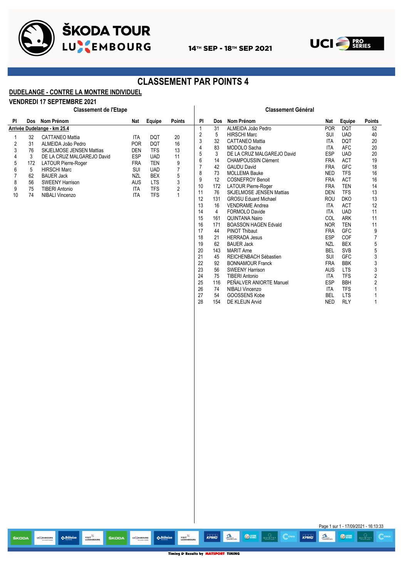



## **CLASSEMENT PAR POINTS 4**

#### **DUDELANGE - CONTRE LA MONTRE INDIVIDUEL**

#### **VENDREDI 17 SEPTEMBRE 2021**

#### **Classement de l'Etape Classement Général**

VISIT<sup>32</sup>

ŠKODA

LU<sup>S</sup>EMBOURG

ABâloise

.<br>ŠKODA

LU<sup>S</sup> EMBOURG

| <b>Classement Général</b> |  |
|---------------------------|--|
|                           |  |

| PI               |     | Dos Nom Prénom              | Nat        | Equipe     | <b>Points</b>    | PI             | Dos             | Nom Prénom                  | Nat        | Equipe     | Points                               |
|------------------|-----|-----------------------------|------------|------------|------------------|----------------|-----------------|-----------------------------|------------|------------|--------------------------------------|
|                  |     | Arrivée Dudelange - km 25.4 |            |            |                  | $\mathbf{1}$   | $\overline{31}$ | ALMEIDA João Pedro          | <b>POR</b> | <b>DQT</b> | 52                                   |
|                  |     |                             |            |            |                  | $\sqrt{2}$     | 5               | <b>HIRSCHI Marc</b>         | SUI        | <b>UAD</b> | 40                                   |
| $\mathbf{1}$     | 32  | CATTANEO Mattia             | ITA        | DQT        | 20               | 3              | 32              | <b>CATTANEO Mattia</b>      | ITA        | DQT        | 20                                   |
| $\boldsymbol{2}$ | 31  | ALMEIDA João Pedro          | <b>POR</b> | <b>DQT</b> | 16               |                |                 |                             |            |            |                                      |
| 3                | 76  | SKJELMOSE JENSEN Mattias    | DEN        | <b>TFS</b> | 13               | 4              | 83              | MODOLO Sacha                | ITA        | AFC        | $20\,$                               |
| 4                | 3   | DE LA CRUZ MALGAREJO David  | <b>ESP</b> | <b>UAD</b> | 11               | 5              | $\mathbf{3}$    | DE LA CRUZ MALGAREJO David  | <b>ESP</b> | <b>UAD</b> | 20                                   |
| 5                | 172 | LATOUR Pierre-Roger         | <b>FRA</b> | <b>TEN</b> | 9                | 6              | 14              | <b>CHAMPOUSSIN Clément</b>  | <b>FRA</b> | ACT        | $19$                                 |
| 6                | 5   | <b>HIRSCHI Marc</b>         | SUI        | <b>UAD</b> | $\boldsymbol{7}$ | $\overline{7}$ | 42              | <b>GAUDU David</b>          | <b>FRA</b> | GFC        | 18                                   |
| $\overline{7}$   | 62  | <b>BAUER Jack</b>           | <b>NZL</b> | <b>BEX</b> |                  | 8              | 73              | MOLLEMA Bauke               | <b>NED</b> | <b>TFS</b> | 16                                   |
|                  |     |                             |            |            | 5                | 9              | 12              | <b>COSNEFROY Benoit</b>     | <b>FRA</b> | ACT        | $16\,$                               |
| 8                | 56  | <b>SWEENY Harrison</b>      | AUS        | <b>LTS</b> | 3                | 10             | 172             | LATOUR Pierre-Roger         | <b>FRA</b> | <b>TEN</b> | 14                                   |
| 9                | 75  | <b>TIBERI Antonio</b>       | <b>ITA</b> | <b>TFS</b> | $\overline{c}$   | 11             | 76              | SKJELMOSE JENSEN Mattias    | DEN        | <b>TFS</b> | 13                                   |
| 10               | 74  | NIBALI Vincenzo             | ITA        | <b>TFS</b> | $\mathbf{1}$     | 12             | 131             | <b>GROSU Eduard Michael</b> | ROU        | <b>DKO</b> | 13                                   |
|                  |     |                             |            |            |                  | 13             | 16              | <b>VENDRAME Andrea</b>      | ITA        | ACT        | 12                                   |
|                  |     |                             |            |            |                  |                |                 |                             |            |            |                                      |
|                  |     |                             |            |            |                  | 14             | $\overline{4}$  | FORMOLO Davide              | ITA        | <b>UAD</b> | 11                                   |
|                  |     |                             |            |            |                  | 15             | 161             | <b>QUINTANA Nairo</b>       | COL        | ARK        | 11                                   |
|                  |     |                             |            |            |                  | 16             | 171             | <b>BOASSON HAGEN Edvald</b> | <b>NOR</b> | <b>TEN</b> | 11                                   |
|                  |     |                             |            |            |                  | 17             | 44              | PINOT Thibaut               | <b>FRA</b> | GFC        | 9                                    |
|                  |     |                             |            |            |                  | 18             | 21              | <b>HERRADA Jesus</b>        | ESP        | COF        | $\boldsymbol{7}$                     |
|                  |     |                             |            |            |                  | 19             | 62              | <b>BAUER Jack</b>           | NZL        | <b>BEX</b> | 5                                    |
|                  |     |                             |            |            |                  | 20             | 143             | <b>MARIT Arne</b>           | <b>BEL</b> | SVB        | 5                                    |
|                  |     |                             |            |            |                  | 21             | 45              | REICHENBACH Sébastien       | SUI        | GFC        | 3                                    |
|                  |     |                             |            |            |                  | 22             | 92              | <b>BONNAMOUR Franck</b>     | <b>FRA</b> | <b>BBK</b> | 3                                    |
|                  |     |                             |            |            |                  | 23             | 56              | <b>SWEENY Harrison</b>      | AUS        | <b>LTS</b> |                                      |
|                  |     |                             |            |            |                  |                |                 |                             |            |            | 3                                    |
|                  |     |                             |            |            |                  | 24             | 75              | <b>TIBERI Antonio</b>       | ITA        | <b>TFS</b> | $\overline{\mathbf{c}}$              |
|                  |     |                             |            |            |                  | 25             | 116             | PEÑALVER ANIORTE Manuel     | <b>ESP</b> | <b>BBH</b> | $\overline{\mathbf{c}}$              |
|                  |     |                             |            |            |                  | 26             | 74              | NIBALI Vincenzo             | ITA        | <b>TFS</b> | $\mathbf{1}$                         |
|                  |     |                             |            |            |                  | 27             | 54              | GOOSSENS Kobe               | <b>BEL</b> | <b>LTS</b> | $\mathbf{1}$                         |
|                  |     |                             |            |            |                  | 28             | 154             | DE KLEIJN Arvid             | <b>NED</b> | <b>RLY</b> | $\mathbf{1}$                         |
|                  |     |                             |            |            |                  |                |                 |                             |            |            |                                      |
|                  |     |                             |            |            |                  |                |                 |                             |            |            |                                      |
|                  |     |                             |            |            |                  |                |                 |                             |            |            |                                      |
|                  |     |                             |            |            |                  |                |                 |                             |            |            |                                      |
|                  |     |                             |            |            |                  |                |                 |                             |            |            |                                      |
|                  |     |                             |            |            |                  |                |                 |                             |            |            |                                      |
|                  |     |                             |            |            |                  |                |                 |                             |            |            |                                      |
|                  |     |                             |            |            |                  |                |                 |                             |            |            |                                      |
|                  |     |                             |            |            |                  |                |                 |                             |            |            |                                      |
|                  |     |                             |            |            |                  |                |                 |                             |            |            |                                      |
|                  |     |                             |            |            |                  |                |                 |                             |            |            |                                      |
|                  |     |                             |            |            |                  |                |                 |                             |            |            |                                      |
|                  |     |                             |            |            |                  |                |                 |                             |            |            |                                      |
|                  |     |                             |            |            |                  |                |                 |                             |            |            |                                      |
|                  |     |                             |            |            |                  |                |                 |                             |            |            |                                      |
|                  |     |                             |            |            |                  |                |                 |                             |            |            |                                      |
|                  |     |                             |            |            |                  |                |                 |                             |            |            |                                      |
|                  |     |                             |            |            |                  |                |                 |                             |            |            |                                      |
|                  |     |                             |            |            |                  |                |                 |                             |            |            |                                      |
|                  |     |                             |            |            |                  |                |                 |                             |            |            |                                      |
|                  |     |                             |            |            |                  |                |                 |                             |            |            |                                      |
|                  |     |                             |            |            |                  |                |                 |                             |            |            |                                      |
|                  |     |                             |            |            |                  |                |                 |                             |            |            |                                      |
|                  |     |                             |            |            |                  |                |                 |                             |            |            |                                      |
|                  |     |                             |            |            |                  |                |                 |                             |            |            |                                      |
|                  |     |                             |            |            |                  |                |                 |                             |            |            |                                      |
|                  |     |                             |            |            |                  |                |                 |                             |            |            |                                      |
|                  |     |                             |            |            |                  |                |                 |                             |            |            |                                      |
|                  |     |                             |            |            |                  |                |                 |                             |            |            |                                      |
|                  |     |                             |            |            |                  |                |                 |                             |            |            |                                      |
|                  |     |                             |            |            |                  |                |                 |                             |            |            |                                      |
|                  |     |                             |            |            |                  |                |                 |                             |            |            |                                      |
|                  |     |                             |            |            |                  |                |                 |                             |            |            |                                      |
|                  |     |                             |            |            |                  |                |                 |                             |            |            |                                      |
|                  |     |                             |            |            |                  |                |                 |                             |            |            |                                      |
|                  |     |                             |            |            |                  |                |                 |                             |            |            |                                      |
|                  |     |                             |            |            |                  |                |                 |                             |            |            |                                      |
|                  |     |                             |            |            |                  |                |                 |                             |            |            | Page 1 sur 1 - 17/09/2021 - 16:13:33 |

VISIT<sup>X</sup><br>LUXEMBOURG

 $\Diamond$ -Bâloise

KPMG

 $\sum_{\text{max}}$ 

 $\bullet$  lotene

 $\sum_{\text{LIX} \in \text{MHS}}$ 

KPMG

**P**creos

 $\bigcirc$  lotere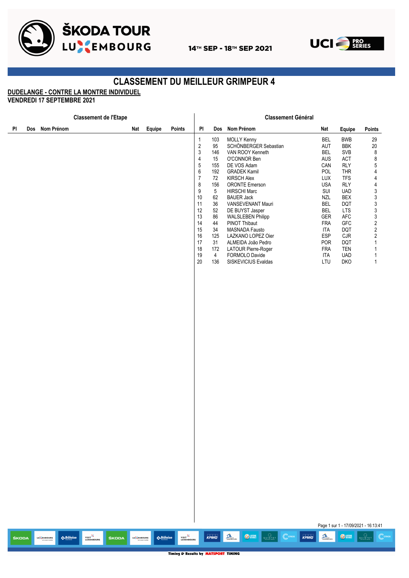

VISIT<sup>32</sup><br>LUXEMBOURG

ŠKODA

LU<sup>S</sup>EMBOURG

ŠKODA

LU<sup>S</sup> EMBOURG

**ABâloise** 



## **CLASSEMENT DU MEILLEUR GRIMPEUR 4**

**DUDELANGE - CONTRE LA MONTRE INDIVIDUEL**

**VENDREDI 17 SEPTEMBRE 2021**

|    | <b>Classement de l'Etape</b> |            |  |     |        |        | <b>Classement Général</b>                                                                                                                                                                 |                                                                                                                                                           |                                                                                                                                                                                                                                                                                                                                                                                                                              |                                                                                                                                                                                           |                                                                                                                                                                                                                  |                                                                                                                                                                                                                                                                |  |
|----|------------------------------|------------|--|-----|--------|--------|-------------------------------------------------------------------------------------------------------------------------------------------------------------------------------------------|-----------------------------------------------------------------------------------------------------------------------------------------------------------|------------------------------------------------------------------------------------------------------------------------------------------------------------------------------------------------------------------------------------------------------------------------------------------------------------------------------------------------------------------------------------------------------------------------------|-------------------------------------------------------------------------------------------------------------------------------------------------------------------------------------------|------------------------------------------------------------------------------------------------------------------------------------------------------------------------------------------------------------------|----------------------------------------------------------------------------------------------------------------------------------------------------------------------------------------------------------------------------------------------------------------|--|
| PI | Dos                          | Nom Prénom |  | Nat | Equipe | Points | PI                                                                                                                                                                                        | Dos                                                                                                                                                       | Nom Prénom                                                                                                                                                                                                                                                                                                                                                                                                                   | Nat                                                                                                                                                                                       | Equipe                                                                                                                                                                                                           | Points                                                                                                                                                                                                                                                         |  |
|    |                              |            |  |     |        |        | $\mathbf{1}$<br>$\sqrt{2}$<br>$\ensuremath{\mathsf{3}}$<br>4<br>5<br>$\boldsymbol{6}$<br>$\sqrt{7}$<br>$\bf 8$<br>9<br>10<br>11<br>12<br>13<br>14<br>15<br>16<br>17<br>18<br>19<br>$20\,$ | 103<br>95<br>146<br>15<br>155<br>192<br>72<br>156<br>$5\phantom{.0}$<br>62<br>$36\,$<br>52<br>86<br>44<br>34<br>125<br>31<br>172<br>$\overline{4}$<br>136 | MOLLY Kenny<br>SCHÖNBERGER Sebastian<br>VAN ROOY Kenneth<br>O'CONNOR Ben<br>DE VOS Adam<br><b>GRADEK Kamil</b><br><b>KIRSCH Alex</b><br><b>ORONTE Emerson</b><br><b>HIRSCHI Marc</b><br><b>BAUER Jack</b><br>VANSEVENANT Mauri<br>DE BUYST Jasper<br><b>WALSLEBEN Philipp</b><br>PINOT Thibaut<br>MASNADA Fausto<br>LAZKANO LOPEZ Oier<br>ALMEIDA João Pedro<br>LATOUR Pierre-Roger<br>FORMOLO Davide<br>SISKEVICIUS Evaldas | <b>BEL</b><br>AUT<br><b>BEL</b><br>AUS<br>CAN<br>POL<br>LUX<br><b>USA</b><br>SUI<br><b>NZL</b><br><b>BEL</b><br>BEL<br>GER<br>FRA<br><b>ITA</b><br>ESP<br>POR<br>FRA<br><b>ITA</b><br>LTU | <b>BWB</b><br>BBK<br>SVB<br>ACT<br><b>RLY</b><br>THR<br><b>TFS</b><br><b>RLY</b><br><b>UAD</b><br>BEX<br>DQT<br><b>LTS</b><br>${\sf AFC}$<br>${\sf GFC}$<br>DQT<br>CJR<br>DQT<br>TEN<br><b>UAD</b><br><b>DKO</b> | 29<br>$20\,$<br>$\bf 8$<br>8<br>5<br>$\overline{\mathbf{4}}$<br>$\overline{\mathbf{4}}$<br>$\overline{\mathbf{4}}$<br>3<br>$\sqrt{3}$<br>3<br>3<br>3<br>$\sqrt{2}$<br>$\sqrt{2}$<br>$\sqrt{2}$<br>$\mathbf{1}$<br>$\mathbf{1}$<br>$\mathbf{1}$<br>$\mathbf{1}$ |  |
|    |                              |            |  |     |        |        |                                                                                                                                                                                           |                                                                                                                                                           |                                                                                                                                                                                                                                                                                                                                                                                                                              |                                                                                                                                                                                           | Page 1 sur 1 - 17/09/2021 - 16:13:41                                                                                                                                                                             |                                                                                                                                                                                                                                                                |  |

VISIT

**URG** 

KPMG

**AB**âloise

 $\mathfrak{A}$ 

**OUTER QUARTER** 

 $\mathbb{C}$ creos

KPMG **AND CUTE** 

**QUINTET**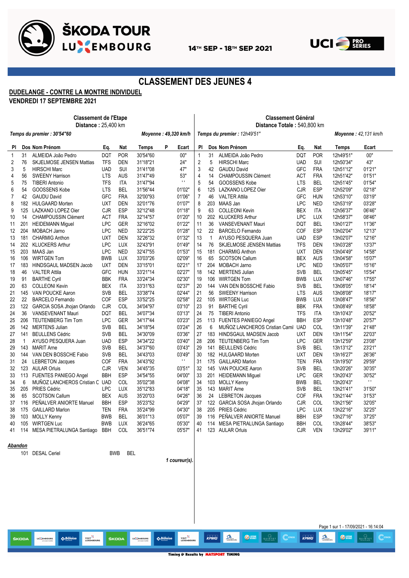



## **CLASSEMENT DES JEUNES 4**

#### **DUDELANGE - CONTRE LA MONTRE INDIVIDUEL**

**VENDREDI 17 SEPTEMBRE 2021**

|            |     | <b>Classement de l'Etape</b><br>Distance: 25,400 km |            |            |                      |   |                | <b>Classement Général</b><br>Distance Totale: 540,800 km |                |                                    |            |            |                             |                |
|------------|-----|-----------------------------------------------------|------------|------------|----------------------|---|----------------|----------------------------------------------------------|----------------|------------------------------------|------------|------------|-----------------------------|----------------|
|            |     | Temps du premier : 30'54"60                         |            |            | Moyenne: 49,320 km/h |   |                |                                                          |                | Temps du premier : 12h49'51"       |            |            | <b>Moyenne: 42.131 km/h</b> |                |
| PI.        |     | Dos Nom Prénom                                      | Eq.        | <b>Nat</b> | <b>Temps</b>         | P | Ecart          | PI                                                       |                | Dos Nom Prénom                     | Eq.        | Nat        | <b>Temps</b>                | Ecart          |
| 1          | 31  | ALMEIDA João Pedro                                  | <b>DQT</b> | POR        | 30'54"60             |   | 00"            | $\mathbf{1}$                                             | 31             | ALMEIDA João Pedro                 | <b>DQT</b> | <b>POR</b> | 12h49'51"                   | 00"            |
| $\sqrt{2}$ | 76  | <b>SKJELMOSE JENSEN Mattias</b>                     | <b>TFS</b> | <b>DEN</b> | 31'18"21             |   | 24"            | $\overline{2}$                                           | 5              | <b>HIRSCHI Marc</b>                | <b>UAD</b> | <b>SUI</b> | 12h50'34"                   | 43"            |
| 3          | 5   | <b>HIRSCHI Marc</b>                                 | <b>UAD</b> | SUI        | 31'41"08             |   | 47"            | 3                                                        | 42             | <b>GAUDU David</b>                 | GFC        | <b>FRA</b> | 12h51'12"                   | 01'21"         |
| 4          | 56  | <b>SWEENY Harrison</b>                              | <b>LTS</b> | <b>AUS</b> | 31'47"49             |   | 53"            | 4                                                        | 14             | <b>CHAMPOUSSIN Clément</b>         | <b>ACT</b> | <b>FRA</b> | 12h51'42"                   | 01'51"         |
| 5          | 75  | <b>TIBERI Antonio</b>                               | <b>TFS</b> | <b>ITA</b> | 31'47"94             |   | $\mathbf{L}$   | 5                                                        | 54             | GOOSSENS Kobe                      | <b>LTS</b> | <b>BEL</b> | 12h51'45"                   | 01'54"         |
| 6          | 54  | GOOSSENS Kobe                                       | <b>LTS</b> | <b>BEL</b> | 31'56"44             |   | 01'02"         | $\boldsymbol{6}$                                         | 125            | LAZKANO LOPEZ Oier                 | <b>CJR</b> | <b>ESP</b> | 12h52'09"                   | 02'18"         |
| 7          | 42  | <b>GAUDU David</b>                                  | <b>GFC</b> | <b>FRA</b> | 32'00"93             |   | 01'06"         | $\overline{7}$                                           | 46             | <b>VALTER Attila</b>               | <b>GFC</b> | <b>HUN</b> | 12h53'10"                   | 03'19"         |
| 8          | 182 | <b>HULGAARD Morten</b>                              | <b>UXT</b> | <b>DEN</b> | 32'01"76             |   | 01'07"         | 8                                                        | 203            | MAAS Jan                           | <b>LPC</b> | <b>NED</b> | 12h53'19"                   | 03'28"         |
| 9          | 125 | LAZKANO LOPEZ Oier                                  | CJR        | <b>ESP</b> | 32'12"48             |   | 01'18"         | 9                                                        | 63             | <b>COLLEONI Kevin</b>              | BEX        | <b>ITA</b> | 12h56'37"                   | 06'46"         |
| 10         | 14  | <b>CHAMPOUSSIN Clément</b>                          | ACT        | <b>FRA</b> | 32'14"57             |   | 01'20"         | 10                                                       | 202            | <b>KLUCKERS Arthur</b>             | <b>LPC</b> | LUX        | 12h58'37"                   | 08'46"         |
| 11         | 201 | <b>HEIDEMANN Miguel</b>                             | <b>LPC</b> | <b>GER</b> | 32'16"02             |   | 01'22"         | 11                                                       | 36             | VANSEVENANT Mauri                  | <b>DQT</b> | <b>BEL</b> | 13h01'27"                   | 11'36"         |
| 12         | 204 | MOBACH Jarno                                        | <b>LPC</b> | <b>NED</b> | 32'22"25             |   | 01'28"         | 12                                                       | 22             | <b>BARCELO</b> Fernando            | COF        | <b>ESP</b> | 13h02'04"                   | 12'13"         |
| 13         | 181 | <b>CHARMIG Anthon</b>                               | <b>UXT</b> | <b>DEN</b> | 32'26"32             |   | 01'32"         | 13                                                       | $\overline{1}$ | AYUSO PESQUERA Juan                | <b>UAD</b> | <b>ESP</b> | 13h02'07"                   | 12'16"         |
| 14         | 202 | <b>KLUCKERS Arthur</b>                              | <b>LPC</b> | <b>LUX</b> | 32'43"91             |   | 01'49"         | 14                                                       | 76             | <b>SKJELMOSE JENSEN Mattias</b>    | <b>TFS</b> | <b>DEN</b> | 13h03'28"                   | 13'37"         |
| 15         | 203 | MAAS Jan                                            | <b>LPC</b> | <b>NED</b> | 32'47"55             |   | 01'53"         | 15                                                       | 181            | <b>CHARMIG Anthon</b>              | <b>UXT</b> | <b>DEN</b> | 13h04'49"                   | 14'58"         |
| 16         | 106 | <b>WIRTGEN Tom</b>                                  | <b>BWB</b> | LUX        | 33'03"26             |   | 02'09"         | 16                                                       | 65             | <b>SCOTSON Callum</b>              | <b>BEX</b> | <b>AUS</b> | 13h04'58"                   | 15'07"         |
| 17         | 183 | HINDSGAUL MADSEN Jacob                              | <b>UXT</b> | <b>DEN</b> | 33'15"01             |   | 02'21"         | 17                                                       | 204            | MOBACH Jarno                       | <b>LPC</b> | <b>NED</b> | 13h05'07"                   | 15'16"         |
| 18         | 46  | <b>VALTER Attila</b>                                | GFC        | <b>HUN</b> | 33'21"14             |   | 02'27"         | 18                                                       | 142            | <b>MERTENS Julian</b>              | <b>SVB</b> | <b>BEL</b> | 13h05'45"                   | 15'54"         |
| 19         | 91  | <b>BARTHE Cyril</b>                                 | <b>BBK</b> | <b>FRA</b> | 33'24"34             |   | 02'30"         | 19                                                       | 106            | <b>WIRTGEN Tom</b>                 | <b>BWB</b> | LUX        | 13h07'46"                   | 17'55"         |
| 20         | 63  | <b>COLLEONI Kevin</b>                               | <b>BEX</b> | ITA        | 33'31"63             |   | 02'37"         | 20                                                       | 144            | VAN DEN BOSSCHE Fabio              | <b>SVB</b> | <b>BEL</b> | 13h08'05"                   | 18'14"         |
| 21         | 145 | VAN POUCKE Aaron                                    | <b>SVB</b> | <b>BEL</b> | 33'38"74             |   | 02'44"         | 21                                                       | 56             | <b>SWEENY Harrison</b>             | <b>LTS</b> | <b>AUS</b> | 13h08'08"                   | 18'17"         |
| 22         | 22  | <b>BARCELO Fernando</b>                             | COF        | <b>ESP</b> | 33'52"25             |   | 02'58"         | 22                                                       | 105            | <b>WIRTGEN Luc</b>                 | <b>BWB</b> | LUX        | 13h08'47"                   | 18'56"         |
| 23         | 122 | GARCIA SOSA Jhojan Orlando                          | <b>CJR</b> | COL        | 34'04"97             |   | 03'10"         | 23                                                       | 91             | <b>BARTHE Cyril</b>                | <b>BBK</b> | <b>FRA</b> | 13h08'49"                   | 18'58"         |
| 24         | 36  | <b>VANSEVENANT Mauri</b>                            | <b>DQT</b> | <b>BEL</b> | 34'07"34             |   | 03'13"         | 24                                                       | 75             | <b>TIBERI Antonio</b>              | <b>TFS</b> | <b>ITA</b> | 13h10'43"                   | 20'52"         |
| 25         | 206 | <b>TEUTENBERG Tim Torn</b>                          | <b>LPC</b> | <b>GER</b> | 34'17"44             |   | 03'23"         | 25                                                       | 113            | <b>FUENTES PANIEGO Angel</b>       | <b>BBH</b> | <b>ESP</b> | 13h10'48"                   | 20'57"         |
| 26         | 142 | <b>MERTENS Julian</b>                               | <b>SVB</b> | <b>BEL</b> | 34'18"54             |   | 03'24"         | 26                                                       | 6              | MUÑOZ LANCHEROS Cristian Camil UAD |            | COL        | 13h11'39"                   | 21'48"         |
| 27         | 141 | <b>BEULLENS Cédric</b>                              | <b>SVB</b> | <b>BEL</b> | 34'30"09             |   | 03'36"         | 27                                                       | 183            | HINDSGAUL MADSEN Jacob             | <b>UXT</b> | <b>DEN</b> | 13h11'54"                   | 22'03"         |
| 28         | 1   | AYUSO PESQUERA Juan                                 | <b>UAD</b> | <b>ESP</b> | 34'34"22             |   | 03'40"         | 28                                                       | 206            | <b>TEUTENBERG Tim Torn</b>         | <b>LPC</b> | GER        | 13h12'59"                   | 23'08"         |
| 29         | 143 | <b>MARIT Arne</b>                                   | <b>SVB</b> | <b>BEL</b> | 34'37"60             |   | 03'43"         | 29                                                       | 141            | <b>BEULLENS Cédric</b>             | <b>SVB</b> | <b>BEL</b> | 13h13'12"                   | 23'21"         |
| 30         | 144 | VAN DEN BOSSCHE Fabio                               | <b>SVB</b> | <b>BEL</b> | 34'43"03             |   | 03'49"         | 30                                                       | 182            | <b>HULGAARD Morten</b>             | <b>UXT</b> | <b>DEN</b> | 13h16'27"                   | 26'36"         |
| 31         | 24  | <b>LEBRETON Jacques</b>                             | COF        | <b>FRA</b> | 34'43"92             |   | $\mathbf{r}$ . | 31                                                       | 175            | <b>GAILLARD Marlon</b>             | TEN        | <b>FRA</b> | 13h19'50"                   | 29'59"         |
| 32         | 123 | <b>AULAR Orluis</b>                                 | <b>CJR</b> | <b>VEN</b> | 34'45"35             |   | 03'51"         | 32                                                       | 145            | VAN POUCKE Aaron                   | <b>SVB</b> | <b>BEL</b> | 13h20'26"                   | 30'35"         |
| 33         | 113 | <b>FUENTES PANIEGO Angel</b>                        | <b>BBH</b> | <b>ESP</b> | 34'54"55             |   | 04'00"         | 33                                                       |                | 201 HEIDEMANN Miguel               | <b>LPC</b> | GER        | 13h20'43"                   | 30'52"         |
| 34         | 6   | MUÑOZ LANCHEROS Cristian C UAD                      |            | COL        | 35'02"38             |   | 04'08"         | 34                                                       |                | 103 MOLLY Kenny                    | <b>BWB</b> | <b>BEL</b> | 13h20'43"                   | $\mathbf{r}$ . |
| 35         | 205 | PRIES Cédric                                        | <b>LPC</b> | <b>LUX</b> | 35'12"83             |   | 04'18"         | 35                                                       |                | 143 MARIT Arne                     | <b>SVB</b> | <b>BEL</b> | 13h21'41"                   | 31'50"         |
| 36         | 65  | <b>SCOTSON Callum</b>                               | <b>BEX</b> | <b>AUS</b> | 35'20"03             |   | 04'26"         | 36                                                       | 24             | <b>LEBRETON Jacques</b>            | COF        | <b>FRA</b> | 13h21'44"                   | 31'53"         |
| 37         | 116 | PEÑALVER ANIORTE Manuel                             | <b>BBH</b> | <b>ESP</b> | 35'23"52             |   | 04'29"         | 37                                                       |                | 122 GARCIA SOSA Jhojan Orlando     | CJR        | COL        | 13h21'56"                   | 32'05"         |
| 38         | 175 | <b>GAILLARD Marlon</b>                              | <b>TEN</b> | <b>FRA</b> | 35'24"99             |   | 04'30"         | 38                                                       |                | 205 PRIES Cédric                   | <b>LPC</b> | LUX        | 13h22'16"                   | 32'25"         |
| 39         | 103 | <b>MOLLY Kenny</b>                                  | <b>BWB</b> | <b>BEL</b> | 36'01"13             |   | 05'07"         | 39                                                       | 116            | PEÑALVER ANIORTE Manuel            | <b>BBH</b> | <b>ESP</b> | 13h27'16"                   | 37'25"         |
| 40         | 105 | <b>WIRTGEN Luc</b>                                  | <b>BWB</b> | <b>LUX</b> | 36'24"65             |   | 05'30"         | 40                                                       | 114            | MESA PIETRALUNGA Santiago          | <b>BBH</b> | COL        | 13h28'44"                   | 38'53"         |
| 41         | 114 | MESA PIETRALUNGA Santiago                           | <b>BBH</b> | COL        | 36'51"74             |   | 05'57"         | 41                                                       |                | 123 AULAR Orluis                   | CJR        | <b>VEN</b> | 13h29'02"                   | 39'11"         |
|            |     |                                                     |            |            |                      |   |                |                                                          |                |                                    |            |            |                             |                |

#### *Abandon*

101 DESAL Ceriel BWB BEL

VISIT<sup>22</sup><br>LUXEMBOURG

ŠKODA

LU<sup>S</sup>EMBOURG

**ABâloise** 

LU<sup>S</sup> EMBOURG

KODA

*1 coureur(s).*

**ABâloise** 

Page 1 sur 1 - 17/09/2021 - 16:14:04

 $\bullet$ 

 $\mathbf{A}$ 

KPMG

Timing & Results by MATSPORT TIMING

KPMG

VISIT<sup>32</sup>

 $\sum_{\text{time}}$ 

 $\bullet$  lotens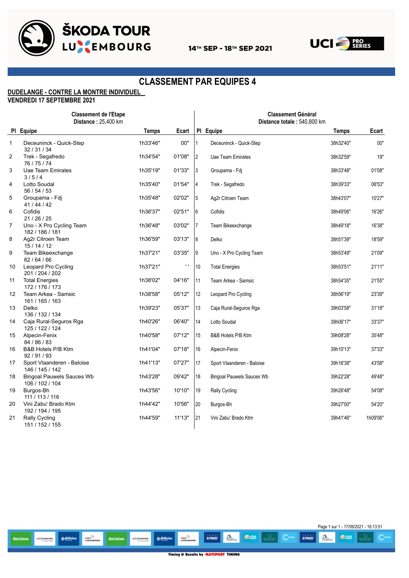

VISIT<sup>32</sup>

ŠKODA

LU CHABOURG

**AB**âloise

LU<sup>S</sup>EMBOURG

KODA



## **CLASSEMENT PAR EQUIPES 4**

#### **DUDELANGE - CONTRE LA MONTRE INDIVIDUEL**

**VENDREDI 17 SEPTEMBRE 2021**

|              | <b>Classement de l'Etape</b><br><b>Distance: 25,400 km</b> |              |                | <b>Classement Général</b><br>Distance totale: 540.800 km |                                  |              |          |  |  |  |
|--------------|------------------------------------------------------------|--------------|----------------|----------------------------------------------------------|----------------------------------|--------------|----------|--|--|--|
|              | PI Equipe                                                  | <b>Temps</b> | Ecart          |                                                          | PI Equipe                        | <b>Temps</b> | Ecart    |  |  |  |
| $\mathbf{1}$ | Deceuninck - Quick-Step<br>32/31/34                        | 1h33'46"     | 00"            | $\mathbf{1}$                                             | Deceuninck - Quick-Step          | 38h32'40"    | 00"      |  |  |  |
| 2            | Trek - Segafredo<br>76/75/74                               | 1h34'54"     | 01'08"         | $\overline{2}$                                           | Uae Team Emirates                | 38h32'59"    | 19"      |  |  |  |
| 3            | Uae Team Emirates<br>3/5/4                                 | 1h35'19"     | 01'33"         | 3                                                        | Groupama - Fdj                   | 38h33'48"    | 01'08"   |  |  |  |
| 4            | Lotto Soudal<br>56 / 54 / 53                               | 1h35'40"     | 01'54"         | 4                                                        | Trek - Segafredo                 | 38h39'33"    | 06'53"   |  |  |  |
| 5            | Groupama - Fdj<br>41/44/42                                 | 1h35'48"     | 02'02"         | 5                                                        | Ag2r Citroen Team                | 38h43'07"    | 10'27"   |  |  |  |
| 6            | Cofidis<br>21/26/25                                        | 1h36'37"     | 02'51"         | 16                                                       | Cofidis                          | 38h49'06"    | 16'26"   |  |  |  |
| 7            | Uno - X Pro Cycling Team<br>182 / 186 / 181                | 1h36'48"     | 03'02"         | $\overline{7}$                                           | Team Bikeexchange                | 38h49'18"    | 16'38"   |  |  |  |
| 8            | Ag2r Citroen Team<br>15/14/12                              | 1h36'59"     | 03'13"         | 8                                                        | Delko                            | 38h51'39"    | 18'59"   |  |  |  |
| 9            | Team Bikeexchange<br>62 / 64 / 66                          | 1h37'21"     | 03'35"         | 9                                                        | Uno - X Pro Cycling Team         | 38h53'49"    | 21'09"   |  |  |  |
| 10           | Leopard Pro Cycling<br>201 / 204 / 202                     | 1h37'21"     | $\mathbf{r}$ . | $10$                                                     | <b>Total Energies</b>            | 38h53'51"    | 21'11"   |  |  |  |
| 11           | <b>Total Energies</b><br>172 / 176 / 173                   | 1h38'02"     | 04'16"         | 11                                                       | Team Arkea - Samsic              | 38h54'35"    | 21'55"   |  |  |  |
| 12           | Team Arkea - Samsic<br>161 / 165 / 163                     | 1h38'58"     | 05'12"         | 12                                                       | Leopard Pro Cycling              | 38h56'19"    | 23'39"   |  |  |  |
| 13           | Delko<br>136 / 132 / 134                                   | 1h39'23"     | 05'37"         | 13                                                       | Caja Rural-Seguros Rga           | 39h03'58"    | 31'18"   |  |  |  |
| 14           | Caja Rural-Seguros Rga<br>125 / 122 / 124                  | 1h40'26"     | 06'40"         | 14                                                       | Lotto Soudal                     | 39h06'17"    | 33'37"   |  |  |  |
| 15           | Alpecin-Fenix<br>84 / 86 / 83                              | 1h40'58"     | 07'12"         | 15                                                       | B&B Hotels P/B Ktm               | 39h08'28"    | 35'48"   |  |  |  |
| 16           | B&B Hotels P/B Ktm<br>92/91/93                             | 1h41'04"     | 07'18"         | 16                                                       | Alpecin-Fenix                    | 39h10'13"    | 37'33"   |  |  |  |
| 17           | Sport Vlaanderen - Baloise<br>146 / 145 / 142              | 1h41'13"     | 07'27"         | 17                                                       | Sport Vlaanderen - Baloise       | 39h16'38"    | 43'58"   |  |  |  |
| 18           | <b>Bingoal Pauwels Sauces Wb</b><br>106 / 102 / 104        | 1h43'28"     | 09'42"         | 18                                                       | <b>Bingoal Pauwels Sauces Wb</b> | 39h22'28"    | 49'48"   |  |  |  |
| 19           | Burgos-Bh<br>111 / 113 / 116                               | 1h43'56"     | 10'10"         | 19                                                       | Rally Cycling                    | 39h26'48"    | 54'08"   |  |  |  |
| 20           | Vini Zabu' Brado Ktm<br>192 / 194 / 195                    | 1h44'42"     | 10'56"         | 20                                                       | Burgos-Bh                        | 39h27'00"    | 54'20"   |  |  |  |
| 21           | <b>Rally Cycling</b><br>151 / 152 / 155                    | 1h44'59"     | 11'13"         | 21                                                       | Vini Zabu' Brado Ktm             | 39h41'46"    | 1h09'06" |  |  |  |

Page 1 sur 1 - 17/09/2021 - 16:13:51

 $\bigcirc$  loten

 $\mathbb{C}$ cn

 $\mathbf{A}$ 

 $KPMG$ 

VISIT<sup>32</sup>

**ABâloise** 

**A**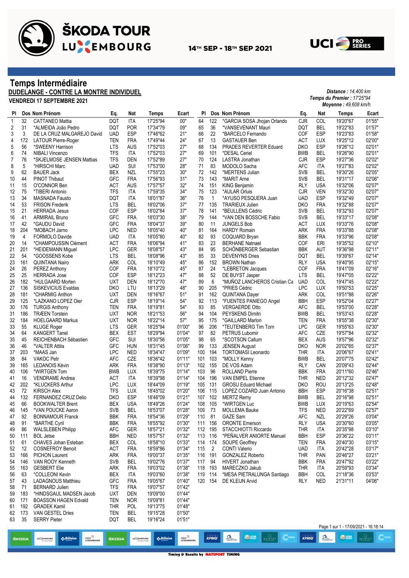



#### **Temps Intermédiaire**

**DUDELANGE - CONTRE LA MONTRE INDIVIDUEL**

VISIT<sup>32</sup>

ŠKODA

LU CHROURG

LU<sup>S</sup>CEMBOURG

KODA

**AB**âloise

**VENDREDI 17 SEPTEMBRE 2021**

|                |     |                             |            |            |              |            |         | Moyenne: 49,608 km/h |                              |            |            |                                      |        |
|----------------|-----|-----------------------------|------------|------------|--------------|------------|---------|----------------------|------------------------------|------------|------------|--------------------------------------|--------|
| PI.            |     | Dos Nom Prénom              | Eq.        | Nat        | <b>Temps</b> | Ecart      | PI      |                      | Dos Nom Prénom               | Eq.        | Nat        | <b>Temps</b>                         | Ecart  |
| $\mathbf{1}$   | 32  | <b>CATTANEO Mattia</b>      | <b>DQT</b> | ITA        | 17'25"94     | 00"        | 64      | 122                  | *GARCIA SOSA Jhojan Orlando  | <b>CJR</b> | COL        | 19'20"67                             | 01'55" |
| $\overline{2}$ | 31  | *ALMEIDA João Pedro         | <b>DQT</b> | POR        | 17'34"79     | 09"        | 65      | 36                   | *VANSEVENANT Mauri           | <b>DQT</b> | <b>BEL</b> | 19'22"83                             | 01'57" |
| 3              | 3   | DE LA CRUZ MALGAREJO David  | <b>UAD</b> | <b>ESP</b> | 17'46"62     | 21"        | 66      | 22                   | *BARCELO Fernando            | COF        | <b>ESP</b> | 19'23"83                             | 01'58" |
| 4              | 172 | <b>LATOUR Pierre-Roger</b>  | <b>TEN</b> | FRA        | 17'49"44     | 24"        | 67      | 13                   | <b>GASTAUER Ben</b>          | <b>ACT</b> | LUX        | 19'25"12                             | 02'00" |
| 5              | 56  | *SWEENY Harrison            | <b>LTS</b> | AUS        | 17'52"03     | 27"        | 68      | 134                  | PRADES REVERTER Eduard       | <b>DKO</b> | <b>ESP</b> | 19'26"12                             | 02'01" |
| 6              | 74  | <b>NIBALI Vincenzo</b>      | <b>TFS</b> | ITA        | 17'52"03     | 27"        | 69      | 101                  | *DESAL Ceriel                | <b>BWB</b> | BEL        | 19'26"90                             | 02'01" |
| 7              | 76  | *SKJELMOSE JENSEN Mattias   | <b>TFS</b> | <b>DEN</b> | 17'52"89     | 27"        | 70      | 124                  | LASTRA Jonathan              | <b>CJR</b> | <b>ESP</b> | 19'27"36                             | 02'02" |
| 8              | 5   | *HIRSCHI Marc               | <b>UAD</b> | SUI        | 17'53"00     | 28"        | 71      | 83                   | MODOLO Sacha                 | <b>AFC</b> | ITA        | 19'27"83                             | 02'02" |
| 9              | 62  | <b>BAUER Jack</b>           | <b>BEX</b> | NZL        | 17'55"23     | 30"        | 72      | 142                  | *MERTENS Julian              | <b>SVB</b> | BEL        | 19'30"26                             | 02'05" |
| 10             | 44  | <b>PINOT Thibaut</b>        | <b>GFC</b> | <b>FRA</b> | 17'56"93     | 31"        | 73      | 143                  | *MARIT Arne                  | <b>SVB</b> | <b>BEL</b> | 19'31"17                             | 02'06" |
|                | 15  |                             |            |            |              | 32"        | 74      | 151                  |                              |            | <b>USA</b> |                                      | 02'07" |
| 11             | 75  | O'CONNOR Ben                | <b>ACT</b> | <b>AUS</b> | 17'57"57     |            |         |                      | <b>KING Benjamin</b>         | RLY        |            | 19'32"06                             |        |
| 12             |     | *TIBERI Antonio             | <b>TFS</b> | ITA        | 17'59"35     | 34"        | 75      | 123                  | *AULAR Orluis                | <b>CJR</b> | <b>VEN</b> | 19'32"30                             | 02'07" |
| 13             | 34  | <b>MASNADA Fausto</b>       | <b>DQT</b> | ITA        | 18'01"87     | 36"<br>37" | 76      | $\overline{1}$       | *AYUSO PESQUERA Juan         | <b>UAD</b> | <b>ESP</b> | 19'32"49                             | 02'07" |
| 14             | 53  | <b>FRISON Frederik</b>      | <b>LTS</b> | <b>BEL</b> | 18'02"06     |            | 77      | 135                  | <b>TRARIEUX Julien</b>       | <b>DKO</b> | <b>FRA</b> | 19'32"88                             | 02'07" |
| 15             | 21  | <b>HERRADA Jesus</b>        | COF        | <b>ESP</b> | 18'02"84     | 37"        | 78      | 141                  | *BEULLENS Cédric             | <b>SVB</b> | <b>BEL</b> | 19'32"93                             | 02'07" |
| 16             | 41  | <b>ARMIRAIL Bruno</b>       | <b>GFC</b> | <b>FRA</b> | 18'03"30     | 38"        | 79      | 144                  | *VAN DEN BOSSCHE Fabio       | <b>SVB</b> | BEL        | 19'33"17                             | 02'08" |
| 17             | 42  | *GAUDU David                | GFC        | <b>FRA</b> | 18'04"37     | 39"        | 80      | 11                   | <b>JUNGELS Bob</b>           | ACT        | LUX        | 19'33"76                             | 02'08" |
| 18             | 204 | *MOBACH Jarno               | <b>LPC</b> | <b>NED</b> | 18'05"40     | 40"        | 81      | 164                  | <b>HARDY Romain</b>          | <b>ARK</b> | <b>FRA</b> | 19'33"88                             | 02'08" |
| 19             | 4   | FORMOLO Davide              | <b>UAD</b> | ITA        | 18'05"80     | 40"        | 82      | 93                   | COQUARD Bryan                | BBK        | <b>FRA</b> | 19'33"96                             | 02'08" |
| 20             | 14  | *CHAMPOUSSIN Clément        | ACT        | <b>FRA</b> | 18'06"94     | 41"        | 83      | 23                   | <b>BERHANE Natnael</b>       | COF        | ERI        | 19'35"52                             | 02'10" |
| 21             | 201 | *HEIDEMANN Miguel           | <b>LPC</b> | <b>GER</b> | 18'08"57     | 43"        | 84      | 95                   | SCHÖNBERGER Sebastian        | BBK        | AUT        | 19'36"98                             | 02'11" |
| 22             | 54  | *GOOSSENS Kobe              | <b>LTS</b> | <b>BEL</b> | 18'08"96     | 43"        | 85      | 33                   | <b>DEVENYNS Dries</b>        | <b>DQT</b> | BEL        | 19'39"67                             | 02'14" |
| 23             | 161 | <b>QUINTANA Nairo</b>       | ARK        | COL        | 18'10"49     | 45"        | 86      | 152                  | <b>BROWN Nathan</b>          | <b>RLY</b> | <b>USA</b> | 19'40"95                             | 02'15" |
| 24             | 26  | <b>PEREZ Anthony</b>        | COF        | <b>FRA</b> | 18'10"72     | 45"        | 87      | 24                   | *LEBRETON Jacques            | COF        | <b>FRA</b> | 19'41"09                             | 02'16" |
| 25             | 25  | <b>HERRADA Jose</b>         | COF        | <b>ESP</b> | 18'12"23     | 47"        | 88      | 52                   | DE BUYST Jasper              | <b>LTS</b> | <b>BEL</b> | 19'47"05                             | 02'22" |
| 26             | 182 | *HULGAARD Morten            | <b>UXT</b> | <b>DEN</b> | 18'12"70     | 47"        | 89      | 6                    | *MUÑOZ LANCHEROS Cristian Ca | <b>UAD</b> | COL        | 19'47"45                             | 02'22" |
| 27             | 136 | SISKEVICIUS Evaldas         | <b>DKO</b> | LTU        | 18'13"29     | 48"        | 90      | 205                  | *PRIES Cédric                | <b>LPC</b> | LUX        | 19'50"53                             | 02'25" |
| 28             | 181 | *CHARMIG Anthon             | <b>UXT</b> | <b>DEN</b> | 18'16"67     | 51"        | 91      | 162                  | QUINTANA Dayer               | ARK        | COL        | 19'51"88                             | 02'26" |
| 29             | 125 | *LAZKANO LOPEZ Oier         | <b>CJR</b> | <b>ESP</b> | 18'19"14     | 54"        | 92      | 113                  | *FUENTES PANIEGO Angel       | <b>BBH</b> | <b>ESP</b> | 19'52"04                             | 02'27" |
| 30             | 176 | <b>TURGIS Anthony</b>       | <b>TEN</b> | <b>FRA</b> | 18'19"81     | 54"        | 93      | 85                   | <b>VERGAERDE Otto</b>        | AFC        | <b>BEL</b> | 19'53"00                             | 02'28" |
| 31             | 186 | <b>TRÆEN Torstein</b>       | <b>UXT</b> | <b>NOR</b> | 18'21"53     | 56"        | 94      | 104                  | PEYSKENS Dimitri             | <b>BWB</b> | <b>BEL</b> | 19'53"43                             | 02'28" |
| 32             | 184 | <b>HOELGAARD Markus</b>     | <b>UXT</b> | <b>NOR</b> | 18'22"14     | 57"        | 95      | 175                  | *GAILLARD Marlon             | TEN        | <b>FRA</b> | 19'55"38                             | 02'30" |
| 33             | 55  | <b>KLUGE Roger</b>          | <b>LTS</b> | <b>GER</b> | 18'25"94     | 01'00"     | 96      | 206                  | *TEUTENBERG Tim Torn         | <b>LPC</b> | <b>GER</b> | 19'55"63                             | 02'30" |
| 34             | 64  |                             | <b>BEX</b> | <b>EST</b> | 18'29"94     | 01'04"     | 97      | 82                   |                              | <b>AFC</b> | CZE        | 19'57"84                             | 02'32" |
|                |     | <b>KANGERT Tanel</b>        |            |            |              |            |         |                      | <b>PETRUS Lubomir</b>        |            |            |                                      |        |
| 35             | 45  | REICHENBACH Sébastien       | <b>GFC</b> | <b>SUI</b> | 18'30"56     | 01'05"     | 98      | 65                   | *SCOTSON Callum              | <b>BEX</b> | <b>AUS</b> | 19'57"96                             | 02'32" |
| 36             | 46  | *VALTER Attila              | GFC        | <b>HUN</b> | 18'31"45     | 01'06"     | 99      | 133                  | <b>JENSEN August</b>         | <b>DKO</b> | <b>NOR</b> | 20'02"65                             | 02'37" |
| 37             | 203 | *MAAS Jan                   | <b>LPC</b> | <b>NED</b> | 18'34"47     | 01'09"     | 100     | 194                  | <b>TORTOMASI Leonardo</b>    | <b>THR</b> | ITA        | 20'06"67                             | 02'41" |
| 38             | 84  | <b>VAKOC Petr</b>           | <b>AFC</b> | CZE        | 18'36"42     | 01'11"     | 101     | 103                  | *MOLLY Kenny                 | <b>BWB</b> | <b>BEL</b> | 20'07"75                             | 02'42" |
| 39             | 165 | <b>LEDANOIS Kévin</b>       | <b>ARK</b> | <b>FRA</b> | 18'38"90     | 01'13"     | 102 155 |                      | DE VOS Adam                  | <b>RLY</b> | CAN        | 20'09"43                             | 02'44" |
| 40             | 106 | *WIRTGEN Tom                | <b>BWB</b> | LUX        | 18'39"75     | 01'14"     | 103     | 96                   | <b>ROLLAND Pierre</b>        | BBK        | <b>FRA</b> | 20'11"60                             | 02'46" |
| 41             | 16  | <b>VENDRAME Andrea</b>      | <b>ACT</b> | <b>ITA</b> | 18'39"98     | 01'14"     | 104     | 196                  | VAN EMPEL Etienne            | <b>THR</b> | <b>NED</b> | 20'12"32                             | 02'47" |
| 42             | 202 | *KLUCKERS Arthur            | <b>LPC</b> | LUX        | 18'44"09     | 01'19"     | 105     | 131                  | <b>GROSU Eduard Michael</b>  | <b>DKO</b> | ROU        | 20'13"25                             | 02'48" |
| 43             | 72  | <b>KIRSCH Alex</b>          | <b>TFS</b> | LUX        | 18'45"02     | 01'20"     | 106     | 115                  | LOPEZ COZARD Juan Antonio    | <b>BBH</b> | <b>ESP</b> | 20'16"38                             | 02'51" |
| 44             | 132 | FERNANDEZ CRUZ Delio        | <b>DKO</b> | <b>ESP</b> | 18'46"09     | 01'21"     | 107     | 102                  | <b>MERTZ Remy</b>            | <b>BWB</b> | <b>BEL</b> | 20'16"98                             | 02'51" |
| 45             | 66  | <b>BOOKWALTER Brent</b>     | <b>BEX</b> | <b>USA</b> | 18'49"26     | 01'24"     | 108     | 105                  | *WIRTGEN Luc                 | <b>BWB</b> | LUX        | 20'19"63                             | 02'54" |
| 46             | 145 | *VAN POUCKE Aaron           | SVB        | <b>BEL</b> | 18'53"07     | 01'28"     | 109     | 73                   | MOLLEMA Bauke                | <b>TFS</b> | <b>NED</b> | 20'22"69                             | 02'57" |
| 47             | 92  | <b>BONNAMOUR Franck</b>     | BBK        | FRA        | 18'54"36     | 01'29"     | 110 81  |                      | <b>GAZE Sam</b>              | AFC        | NZL        | 20'29"26                             | 03'04" |
| 48             | 91  | *BARTHE Cyril               | <b>BBK</b> | <b>FRA</b> | 18'55"92     | 01'30"     | 111 156 |                      | <b>ORONTE Emerson</b>        | RLY        | <b>USA</b> | 20'30"60                             | 03'05" |
| 49             | 86  | <b>WALSLEBEN Philipp</b>    | AFC        | GER        | 18'57"21     | 01'32"     | 112 195 |                      | STACCHIOTTI Riccardo         | <b>THR</b> | ITA        | 20'35"98                             | 03'10" |
| 50             | 111 | <b>BOL Jetse</b>            | <b>BBH</b> | NED        | 18'57"57     | 01'32"     | 113 116 |                      | *PEÑALVER ANIORTE Manuel     | BBH        | <b>ESP</b> | 20'36"22                             | 03'11" |
| 51             | 61  | CHAVES Johan Esteban        | <b>BEX</b> | COL        | 18'58"10     | 01'33"     |         | 114 174              | <b>SOUPE Geoffrey</b>        | TEN        | <b>FRA</b> | 20'40"30                             | 03'15" |
| 52             | 12  | <b>COSNEFROY Benoit</b>     | ACT        | FRA        | 18'59"86     | 01'34"     | 115     | $\overline{2}$       | <b>CONTI Valerio</b>         | <b>UAD</b> | ITA        | 20'42"28                             | 03'17" |
| 53             | 166 | PICHON Laurent              | ARK        | <b>FRA</b> | 19'00"37     | 01'35"     | 116 191 |                      | <b>GONZALEZ Roberto</b>      | <b>THR</b> | <b>PAN</b> | 20'46"27                             | 03'21" |
| 54             | 146 | VAN ROOY Kenneth            | SVB        | <b>BEL</b> | 19'02"76     | 01'37"     | 117 94  |                      | HIVERT Jonathan              | BBK        | <b>FRA</b> | 20'47"92                             | 03'22" |
|                | 163 | <b>GESBERT Elie</b>         | ARK        | <b>FRA</b> | 19'03"02     | 01'38"     | 118 193 |                      | MARECZKO Jakub               | <b>THR</b> | ITA        | 20'59"93                             | 03'34" |
| 55             | 63  | *COLLEONI Kevin             | <b>BEX</b> | ITA        | 19'03"60     | 01'38"     | 119 114 |                      | *MESA PIETRALUNGA Santiago   | BBH        | <b>COL</b> | 21'18"36                             | 03'53" |
| 56             |     |                             |            |            |              |            |         |                      |                              |            |            |                                      |        |
| 57             | 43  | <b>LADAGNOUS Matthieu</b>   | GFC        | <b>FRA</b> | 19'05"67     | 01'40"     | 120 154 |                      | DE KLEIJN Arvid              | RLY        | <b>NED</b> | 21'31"11                             | 04'06" |
| 58             | 71  | <b>BERNARD Julien</b>       | <b>TFS</b> | <b>FRA</b> | 19'07"57     | 01'42"     |         |                      |                              |            |            |                                      |        |
| 59             | 183 | *HINDSGAUL MADSEN Jacob     | <b>UXT</b> | DEN        | 19'09"00     | 01'44"     |         |                      |                              |            |            |                                      |        |
| 60             | 171 | <b>BOASSON HAGEN Edvald</b> | <b>TEN</b> | <b>NOR</b> | 19'09"81     | 01'44"     |         |                      |                              |            |            |                                      |        |
| 61             | 192 | <b>GRADEK Kamil</b>         | <b>THR</b> | <b>POL</b> | 19'13"75     | 01'48"     |         |                      |                              |            |            |                                      |        |
| 62             | 173 | VAN GESTEL Dries            | <b>TEN</b> | BEL        | 19'15"28     | 01'50"     |         |                      |                              |            |            |                                      |        |
| 63             | 35  | <b>SERRY Pieter</b>         | DQT        | BEL        | 19'16"24     | 01'51"     |         |                      |                              |            |            |                                      |        |
|                |     |                             |            |            |              |            |         |                      |                              |            |            | Page 1 sur 1 - 17/09/2021 - 16:18:14 |        |

 $KPMG$ 

VISIT<sup>32</sup>

**ABâloise** 

 $\sum_{\text{nonline}}$ 

 $\bullet$ 

 $\mathbf{A}$ 

 $\bigcirc$  loten

 $\mathbb{C}$ creos

KPMG

*Distance : 14,400 km Temps du Premier : 17'25"94*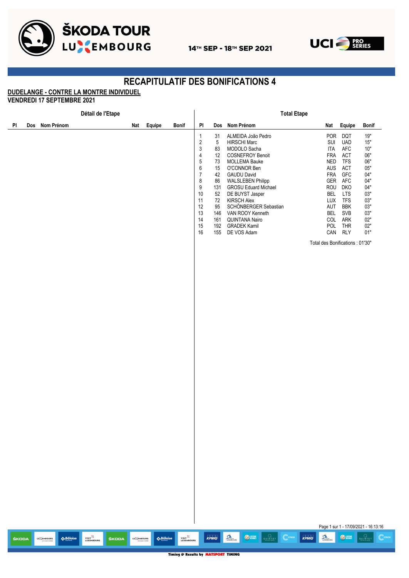

VISIT<sup>3</sup>

LU<sup>S</sup>CHBOURG

ŠKODA

**AB**âloise

ŠKODA

LU CHROURG

**ABâloise** 



## **RECAPITULATIF DES BONIFICATIONS 4**

#### **DUDELANGE - CONTRE LA MONTRE INDIVIDUEL**

#### **VENDREDI 17 SEPTEMBRE 2021**

| Nom Prénom<br>Nom Prénom<br>Equipe<br>${\sf PI}$<br>Dos<br>Equipe<br><b>Bonif</b><br>PI<br>Dos<br>Nat<br><b>Bonif</b><br>Nat<br>POR<br><b>DQT</b><br>$19"$<br>$\mathbf{1}$<br>31<br>ALMEIDA João Pedro<br>$\sqrt{2}$<br>$\mathbf 5$<br>SUI<br><b>UAD</b><br>15"<br><b>HIRSCHI Marc</b><br>$\sqrt{3}$<br>ITA<br>AFC<br>83<br>MODOLO Sacha<br>10"<br>$\overline{\mathcal{L}}$<br>12<br><b>COSNEFROY Benoit</b><br>FRA<br>ACT<br>06"<br>$\,$ 5 $\,$<br>NED<br><b>TFS</b><br>06"<br>73<br>MOLLEMA Bauke<br>$\,6\,$<br>15<br>AUS<br>ACT<br>$05"$<br>O'CONNOR Ben<br>$\boldsymbol{7}$<br>FRA<br>GFC<br>$04"$<br>42<br><b>GAUDU David</b><br>$\bf 8$<br>GER<br>AFC<br>$04"$<br>86<br><b>WALSLEBEN Philipp</b><br>9<br>131<br><b>GROSU Eduard Michael</b><br>ROU<br><b>DKO</b><br>04"<br>$10\,$<br>52<br><b>BEL</b><br><b>LTS</b><br>$03"$<br>DE BUYST Jasper<br><b>KIRSCH Alex</b><br>LUX<br><b>TFS</b><br>11<br>72<br>$03"$<br>$12$<br>95<br>SCHÖNBERGER Sebastian<br><b>BBK</b><br>$03"$<br>AUT<br>13<br><b>BEL</b><br>SVB<br>146<br>VAN ROOY Kenneth<br>03"<br>14<br>COL<br>ARK<br>$02"$<br>161<br>QUINTANA Nairo<br>15<br>POL<br>THR<br>$02"$<br>192<br><b>GRADEK Kamil</b><br>$16\,$<br>CAN<br><b>RLY</b><br>155<br>DE VOS Adam<br>01"<br>Total des Bonifications : 01'30" |
|--------------------------------------------------------------------------------------------------------------------------------------------------------------------------------------------------------------------------------------------------------------------------------------------------------------------------------------------------------------------------------------------------------------------------------------------------------------------------------------------------------------------------------------------------------------------------------------------------------------------------------------------------------------------------------------------------------------------------------------------------------------------------------------------------------------------------------------------------------------------------------------------------------------------------------------------------------------------------------------------------------------------------------------------------------------------------------------------------------------------------------------------------------------------------------------------------------------------------------------------------------------------------|
|                                                                                                                                                                                                                                                                                                                                                                                                                                                                                                                                                                                                                                                                                                                                                                                                                                                                                                                                                                                                                                                                                                                                                                                                                                                                          |
|                                                                                                                                                                                                                                                                                                                                                                                                                                                                                                                                                                                                                                                                                                                                                                                                                                                                                                                                                                                                                                                                                                                                                                                                                                                                          |
| Page 1 sur 1 - 17/09/2021 - 16:13:16                                                                                                                                                                                                                                                                                                                                                                                                                                                                                                                                                                                                                                                                                                                                                                                                                                                                                                                                                                                                                                                                                                                                                                                                                                     |

**VISIT<sup>1</sup>**<br>LUXEMBOURG

KPMG

 $\mathbf{A}$ 

 $\bullet$ 

 $\mathbb{C}$ creos

KPMG

 $\sum_{\text{LMEM5Case}}$ 

 $\bigcirc$  lotens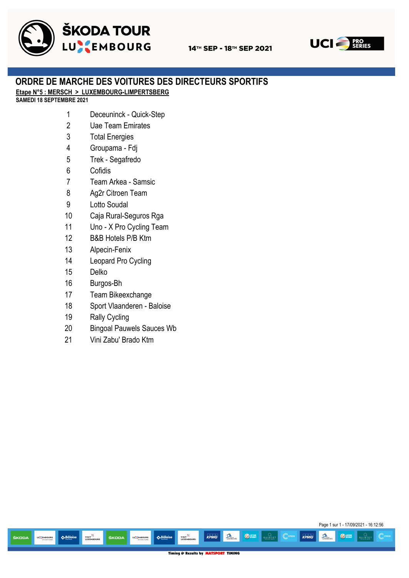



## **ORDRE DE MARCHE DES VOITURES DES DIRECTEURS SPORTIFS**

**Etape N°5 : MERSCH > LUXEMBOURG-LIMPERTSBERG**

**SAMEDI 18 SEPTEMBRE 2021**

- Deceuninck Quick-Step
- Uae Team Emirates
- Total Energies
- Groupama Fdj
- Trek Segafredo
- Cofidis
- Team Arkea Samsic
- Ag2r Citroen Team
- Lotto Soudal
- Caja Rural-Seguros Rga
- Uno X Pro Cycling Team
- B&B Hotels P/B Ktm
- Alpecin-Fenix
- Leopard Pro Cycling
- Delko
- Burgos-Bh
- Team Bikeexchange
- Sport Vlaanderen Baloise
- Rally Cycling
- Bingoal Pauwels Sauces Wb
- Vini Zabu' Brado Ktm

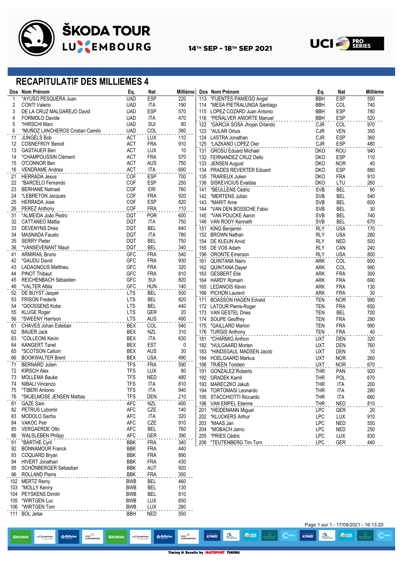

14TH SEP - 18TH SEP 2021



Page 1 sur 1 - 17/09/2021 - 16:13:20

 $\bullet$ 

 $\mathbb{C}$ cre

 $\sum_{\text{maximalness}}$ 

KPMG

 $\mathbb{C}$ creos

### **RECAPITULATIF DES MILLIEMES 4**

LU<sup>S</sup> EMBOURG

.<br>KODA

ABâloise

VISIT<sup>22</sup>

LU<sup>S</sup>CEMBOURG

ŠKODA

**AB**âloise

|              | Dos Nom Prénom                   | Eq.        | Nat        | Millième | Dos Nom Prénom                  | Eq.        | Nat        | Millième |
|--------------|----------------------------------|------------|------------|----------|---------------------------------|------------|------------|----------|
| $\mathbf{1}$ | *AYUSO PESQUERA Juan             | <b>UAD</b> | <b>ESP</b> | 220      | 113 *FUENTES PANIEGO Angel      | <b>BBH</b> | <b>ESP</b> | 550      |
| 2            | <b>CONTI Valerio</b>             | <b>UAD</b> | ITA        | 190      | 114 *MESA PIETRALUNGA Santiago  | <b>BBH</b> | COL        | 740      |
| 3            | DE LA CRUZ MALGAREJO David       | <b>UAD</b> | <b>ESP</b> | 570      | 115 LOPEZ COZARD Juan Antonio   | <b>BBH</b> | <b>ESP</b> | 780      |
| 4            | FORMOLO Davide                   | <b>UAD</b> | ITA        | 470      | 116 *PEÑALVER ANIORTE Manuel    | <b>BBH</b> | <b>ESP</b> | 520      |
| 5            | *HIRSCHI Marc                    | <b>UAD</b> | SUI        | 80       | 122 *GARCIA SOSA Jhojan Orlando | <b>CJR</b> | COL        | 970      |
| 6            | *MUÑOZ LANCHEROS Cristian Camilo | <b>UAD</b> | COL        | 380      | 123 *AULAR Orluis               | <b>CJR</b> | <b>VEN</b> | 350      |
| 11           | <b>JUNGELS Bob</b>               | <b>ACT</b> | <b>LUX</b> | 110      | 124 LASTRA Jonathan             | <b>CJR</b> | ESP        | 360      |
| 12           | <b>COSNEFROY Benoit</b>          | ACT        | <b>FRA</b> | 910      | 125 *LAZKANO LOPEZ Oier         | <b>CJR</b> | <b>ESP</b> | 480      |
|              |                                  |            |            |          | .                               |            |            |          |
| 13           | <b>GASTAUER Ben</b>              | <b>ACT</b> | <b>LUX</b> | 10       | 131 GROSU Eduard Michael        | <b>DKO</b> | <b>ROU</b> | 940      |
| 14           | *CHAMPOUSSIN Clément             | ACT        | <b>FRA</b> | 570      | 132 FERNANDEZ CRUZ Delio        | <b>DKO</b> | ESP        | 110      |
| 15           | O'CONNOR Ben                     | <b>ACT</b> | <b>AUS</b> | 750      | 133 JENSEN August               | <b>DKO</b> | <b>NOR</b> | 40       |
| 16           | .<br><b>VENDRAME Andrea</b>      | <b>ACT</b> | <b>ITA</b> | 690      | 134 PRADES REVERTER Eduard      | <b>DKO</b> | <b>ESP</b> | 880      |
| 21           | <b>HERRADA Jesus</b>             | <b>COF</b> | <b>ESP</b> | 700      | 135 TRARIEUX Julien             | <b>DKO</b> | <b>FRA</b> | 910      |
| 22           | *BARCELO Fernando                | COF        | <b>ESP</b> | 250      | 135 SISKEVICIUS Evaldas         | <b>DKO</b> | LTU        | 260      |
| 23           | <b>BERHANE Natnael</b>           | COF        | ERI        | 760      | 141 *BEULLENS Cédric            | <b>SVB</b> | <b>BEL</b> | 90       |
| 24           | *LEBRETON Jacques                | <b>COF</b> | <b>FRA</b> | 920      | 142 *MERTENS Julian             | <b>SVB</b> | <b>BEL</b> |          |
|              |                                  |            |            |          |                                 |            |            | 540      |
| 25           | <b>HERRADA Jose</b>              | <b>COF</b> | <b>ESP</b> | 820      | 143 *MARIT Arne                 | <b>SVB</b> | <b>BEL</b> | 600      |
| 26           | <b>PEREZ Anthony</b>             | COF        | <b>FRA</b> | 110      | 144 *VAN DEN BOSSCHE Fabio      | <b>SVB</b> | <b>BEL</b> | 30       |
| 31           | *ALMEIDA João Pedro              | DQT        | <b>POR</b> | 600      | 145 *VAN POUCKE Aaron           | <b>SVB</b> | <b>BEL</b> | 740      |
| 32           | <b>CATTANEO Mattia</b>           | <b>DQT</b> | ITA        | 750      | .<br>146 VAN ROOY Kenneth       | <b>SVB</b> | <b>BEL</b> | 670      |
| 33           | <b>DEVENYNS Dries</b>            | <b>DQT</b> | <b>BEL</b> | 640      | 151 KING Benjamin               | <b>RLY</b> | <b>USA</b> | 170      |
| 34           | <b>MASNADA Fausto</b>            | <b>DQT</b> | <b>ITA</b> | 780      | 152 BROWN Nathan                | <b>RLY</b> | <b>USA</b> | 280      |
| 35           | <b>SERRY Pieter</b>              | <b>DQT</b> | <b>BEL</b> | 750      | 154 DE KLEIJN Arvid             | <b>RLY</b> | <b>NED</b> | 500      |
|              |                                  | <b>DQT</b> | <b>BEL</b> | 340      |                                 |            |            |          |
| 36           | *VANSEVENANT Mauri               |            |            |          | 155 DE VOS Adam                 | <b>RLY</b> | CAN        | 240      |
| 41           | <b>ARMIRAIL Bruno</b>            | <b>GFC</b> | <b>FRA</b> | 540      | .<br>156 ORONTE Emerson         | <b>RLY</b> | <b>USA</b> | 800      |
| 42           | *GAUDU David                     | <b>GFC</b> | <b>FRA</b> | 930      | 161 QUINTANA Nairo              | ARK        | COL        | 600      |
| 43           | <b>LADAGNOUS Matthieu</b>        | <b>GFC</b> | <b>FRA</b> | 320      | 162 QUINTANA Dayer              | ARK        | COL        | 990      |
| 44           | <b>PINOT Thibaut</b>             | <b>GFC</b> | <b>FRA</b> | 810      | 163 GESBERT Elie                | ARK        | <b>FRA</b> | 300      |
| 45           | REICHENBACH Sébastien            | <b>GFC</b> | SUI        | 820      | 164 HARDY Romain                | ARK        | <b>FRA</b> | 690      |
| 46           | *VALTER Attila                   | <b>GFC</b> | <b>HUN</b> | 140      | 165 LEDANOIS Kévin              | ARK        | <b>FRA</b> | 130      |
| 52           | DE BUYST Jasper                  | <b>LTS</b> | <b>BEL</b> | 500      | 166 PICHON Laurent              | <b>ARK</b> | <b>FRA</b> | 30       |
| 53           |                                  | <b>LTS</b> | <b>BEL</b> |          |                                 |            |            |          |
|              | <b>FRISON Frederik</b>           |            |            | 820      | 171 BOASSON HAGEN Edvald        | TEN        | <b>NOR</b> | 990      |
| 54           | *GOOSSENS Kobe                   | <b>LTS</b> | <b>BEL</b> | 440      | 172 LATOUR Pierre-Roger         | <b>TEN</b> | <b>FRA</b> | 650      |
| 55           | <b>KLUGE Roger</b>               | <b>LTS</b> | <b>GER</b> | 20       | 173 VAN GESTEL Dries            | <b>TEN</b> | <b>BEL</b> | 700      |
| 56           | *SWEENY Harrison<br>.            | LTS        | <b>AUS</b> | 490      | 174 SOUPE Geoffrey              | <b>TEN</b> | <b>FRA</b> | 290      |
| 61           | CHAVES Johan Esteban             | <b>BEX</b> | COL        | 540      | 175 *GAILLARD Marlon            | TEN        | <b>FRA</b> | 990      |
| 62           | <b>BAUER Jack</b>                | BEX        | <b>NZL</b> | 310      | 176 TURGIS Anthony              | <b>TEN</b> | <b>FRA</b> | 40       |
| 63           | *COLLEONI Kevin                  | <b>BEX</b> | ITA        | 630      | 181 *CHARMIG Anthon             | <b>UXT</b> | DEN        | 320      |
| 64           | <b>KANGERT Tanel</b>             | BEX        | <b>EST</b> | 0        | 182 *HULGAARD Morten            | <b>UXT</b> | <b>DEN</b> | 760      |
| 65           | *SCOTSON Callum                  | <b>BEX</b> | AUS        | 30       | 183 *HINDSGAUL MADSEN Jacob     | <b>UXT</b> | <b>DEN</b> | 10       |
| 66           | <b>BOOKWALTER Brent</b>          | BEX        | <b>USA</b> | 490      |                                 | <b>UXT</b> | <b>NOR</b> |          |
|              | .                                |            |            |          | 184 HOELGAARD Markus            |            |            | 260      |
| 71           | <b>BERNARD Julien</b>            | <b>TFS</b> | <b>FRA</b> | 590      | 186 TRÆEN Torstein              | <b>UXT</b> | <b>NOR</b> | 670      |
| 72           | <b>KIRSCH Alex</b>               | <b>TFS</b> | LUX        | 80       | 191 GONZALEZ Roberto            | <b>THR</b> | PAN        | 920      |
| 73           | <b>MOLLEMA Bauke</b>             | <b>TFS</b> | NED        | 480      | 192 GRADEK Kamil                | <b>THR</b> | POL        | 670      |
| 74           | <b>NIBALI Vincenzo</b>           | <b>TFS</b> | ITA        | 810      | 193 MARECZKO Jakub              | <b>THR</b> | <b>ITA</b> | 200      |
| 75           | *TIBERI Antonio                  | <b>TFS</b> | <b>ITA</b> | 940      | 194 TORTOMASI Leonardo          | <b>THR</b> | ITA        | 280      |
| 76           | *SKJELMOSE JENSEN Mattias        | <b>TFS</b> | <b>DEN</b> | 210      | 195 STACCHIOTTI Riccardo        | <b>THR</b> | <b>ITA</b> | 660      |
| 81           | <b>GAZE Sam</b>                  | <b>AFC</b> | <b>NZL</b> | 400      | 196 VAN EMPEL Etienne<br>.      | <b>THR</b> | <b>NED</b> | 810      |
| 82           | PETRUS Lubomir                   | <b>AFC</b> | CZE        | 140      | 201 *HEIDEMANN Miguel           | <b>LPC</b> | GER        | 20       |
| 83           | MODOLO Sacha                     | AFC        | ITA        | 320      | 202 *KLUCKERS Arthur            | <b>LPC</b> | LUX        |          |
|              |                                  |            | CZE        |          |                                 |            |            | 910      |
| 84           | VAKOC Petr                       | AFC        |            | 910      | 203 *MAAS Jan                   | <b>LPC</b> | <b>NED</b> | 550      |
| 85           | <b>VERGAERDE Otto</b>            | <b>AFC</b> | <b>BEL</b> | 760      | 204 *MOBACH Jarno               | <b>LPC</b> | <b>NED</b> | 250      |
| 86           | <b>WALSLEBEN Philipp</b><br>.    | AFC        | GER        | 390      | 205 *PRIES Cédric               | <b>LPC</b> | <b>LUX</b> | 830      |
|              | 91 *BARTHE Cvril                 | <b>BBK</b> | <b>FRA</b> | 340      | 206 *TEUTENBERG Tim Torn        | <b>LPC</b> | GER        | 440      |
| 92           | <b>BONNAMOUR Franck</b>          | <b>BBK</b> | <b>FRA</b> | 440      |                                 |            |            |          |
| 93           | COQUARD Bryan                    | <b>BBK</b> | <b>FRA</b> | 890      |                                 |            |            |          |
| 94           | <b>HIVERT Jonathan</b>           | <b>BBK</b> | <b>FRA</b> | 430      |                                 |            |            |          |
| 95           | SCHÖNBERGER Sebastian            | <b>BBK</b> | AUT        | 920      |                                 |            |            |          |
| 96           | <b>ROLLAND Pierre</b>            | BBK        | <b>FRA</b> | 350      |                                 |            |            |          |
|              |                                  |            |            |          |                                 |            |            |          |
|              | 102 MERTZ Remy                   | <b>BWB</b> | BEL        | 460      |                                 |            |            |          |
|              | 103 *MOLLY Kenny                 | <b>BWB</b> | <b>BEL</b> | 130      |                                 |            |            |          |
|              | 104 PEYSKENS Dimitri             | <b>BWB</b> | <b>BEL</b> | 810      |                                 |            |            |          |
|              | 105 *WIRTGEN Luc                 | <b>BWB</b> | <b>LUX</b> | 650      |                                 |            |            |          |
|              | 106 *WIRTGEN Tom<br>.            | <b>BWB</b> | LUX        | 260      |                                 |            |            |          |
|              | 111 BOL Jetse                    | <b>BBH</b> | <b>NED</b> | 550      |                                 |            |            |          |

Timing & Results by MATSPORT TIMING

 $KPMG$ 

VISIT<sup>32</sup>

**A** 

**OUTRIE** OVALIET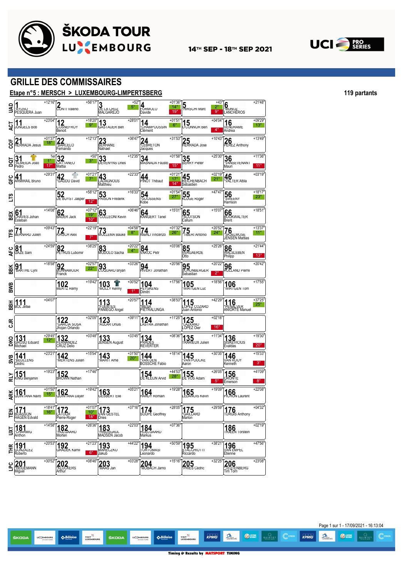



**GRILLE DES COMMISSAIRES**

**ABâloise** 

LU<sup>S</sup>CEMBOURG

(ODA

VISIT<sup>32</sup>

ŠKODA

LU<sup>S</sup>EMBOURG

**Etape n°5 : MERSCH > LUXEMBOURG-LIMPERTSBERG 119 partants**

| ≏<br>℥     | 1<br>*AYUSO<br>PESQUERA Juan                              |                           | $\overline{+12}$ '16"<br>CONII Valeno           |                                              | +56'17"<br>DE LA CRUZ<br>MALGAREJO                                                         | $+52^{\circ}$<br>$5^\circ$     | 4<br>EORMOLO<br>Davide                             | $+01'36"$<br>$14^{\circ}$<br>19 <sup>°</sup> | 5<br>HIRSCHI Marc                 | $+43"$<br>$2^{\circ}$<br>$9^{\circ}$ | <b>6</b><br>MUNOZ<br>LANCHEROS                                                                                                                                                                                                                                                                                      | $+21'48"$                 |
|------------|-----------------------------------------------------------|---------------------------|-------------------------------------------------|----------------------------------------------|--------------------------------------------------------------------------------------------|--------------------------------|----------------------------------------------------|----------------------------------------------|-----------------------------------|--------------------------------------|---------------------------------------------------------------------------------------------------------------------------------------------------------------------------------------------------------------------------------------------------------------------------------------------------------------------|---------------------------|
| ঢ়ৄ        | JUNGELS BOD                                               | $+23'04"$                 | 12 <sub>NEFROY</sub><br>Benoit                  | $+18'20'$<br>ാ°                              | $13$<br>GASI AUER Ben                                                                      | $+28'01'$                      | 14<br>CHAMPOUSSIN<br>Clément                       | $+01'51$<br>$6^{\circ}$                      | $15$<br>OCONNOR Ben               | $+04'04'$<br>$4^\circ$               | <b>16</b><br>VENURAME<br>Andrea                                                                                                                                                                                                                                                                                     | $+09'29"$<br>$13^\circ$   |
| ខូ         | HERRADA Jesus                                             | $+01'37'$<br>$18^\circ$   | 22<br>Fernando                                  | $+12'13"$                                    | 23<br>BERHANE<br>Natnael                                                                   | $+36'47'$                      | 24<br>Jacques                                      | $+31'53'$                                    | 25<br>HERKADA JOSe                | $+10'43"$                            | 26<br>PEREZ Anthony                                                                                                                                                                                                                                                                                                 | $+13'49''$                |
| g          | $31$<br>$24$ MEIDA João                                   | 1er                       | $32$<br>$\alpha$<br>Mattia                      | $+50"$<br>$3^\circ$                          | 33<br>DEVENYNS Dries                                                                       | $+12'35'$                      | 34<br>MASNADA Fausto                               | $+01'58'$<br>$15^\circ$                      | 35<br>SERKY Pieter                | $+25'30'$                            | 36<br>MANSEVENANT<br>Mauri                                                                                                                                                                                                                                                                                          | $+11'36'$<br>$11^{\circ}$ |
| Ğ          | 41<br>ARMIRAIL Bruno                                      | $+29'31$                  | 42<br>GAUDU David                               | $+01'21$<br>$7^{\circ}$                      | 43<br>LADAGNOUS<br>Matthieu                                                                | $+22'33'$                      | 44<br>PINOT Thibaut                                | $+01'21$<br>17'<br>$14^\circ$                | 45<br>REICHENBACH<br>Sébastien    | $+02'19'$<br>$21^{\circ}$            | 46<br>VALTER Attila                                                                                                                                                                                                                                                                                                 | $+03'19'$                 |
| <b>SJT</b> |                                                           |                           | 52<br>De Buysi Jasper                           | $+58'12"$<br>$12^{\circ}$                    | 53<br>FRISON Frederik                                                                      | $+16'33"$                      | $54$<br>GOUSSENS<br>Kobe                           | $+01'54'$<br>27                              | 55<br>KLUGE Roger                 | $+47'47'$                            | 56<br><b>SWEENY</b><br>Harrison                                                                                                                                                                                                                                                                                     | $+18'17"$<br>$23^\circ$   |
| EEX        | 61<br>CHAVES Johan<br>Esteban                             | $+14'08''$                | $\left[\underset{\text{BAUEK Jack}}{62}\right]$ | $+07'12'$<br>19 <sup>°</sup><br>$10^{\circ}$ | 63<br>COLLEONI Kevin                                                                       | $+06'46"$                      | 64<br>KANGERT Tanel                                | $+15'01$                                     | 65<br>SCOTSON<br>Callum           | $+15'07'$                            | 66<br>BOOKWALIER<br>Brent                                                                                                                                                                                                                                                                                           | $+18'51"$                 |
| <b>FS</b>  | <b>BERNARD Julien</b>                                     | $+09'43"$                 | <b>72</b><br>KIRSCH Alex                        | $+22'19'$<br>$7^\circ$                       | 73<br>MOLLEMA Bauke                                                                        | $+04'58'$                      | 74<br>NIBALI Vincenzo                              | $+01'32$<br>26'                              | 75<br>IBERI Antonio               | $+20'52'$<br>$24^\circ$              | 76<br>"SKJELMOSE<br>JENSEN Mattias                                                                                                                                                                                                                                                                                  | $+13'37'$<br>$11^{\circ}$ |
| 74         | $81$<br>GAZE Sam                                          | $+24'59"$                 | 82<br>PETRUS Lubomir                            | $+38'25'$                                    | 83<br>MUDULU Sacha                                                                         | $+20'22'$<br>$4^{\circ}$       | 84<br>VAKUC Petr                                   | $+03'06'$                                    | 85<br>VERGAERDE<br>Otto           | $+25'26'$                            | 86<br>WALSLEBEN<br>Philipp                                                                                                                                                                                                                                                                                          | $+21'44"$<br>$13^{\circ}$ |
| 홂          | $91$ <sup>BARTHE</sup> Cynl                               | $+18'58"$                 | 92<br>BUNNAMOUR<br>Franck                       | $+02'57'$<br>$22^{\circ}$                    | 93<br>COQUARD Bryan                                                                        | $+33'26'$                      | 94<br>HIVERT Jonathan                              | $+20'56'$                                    | 95<br>SCHONBERGER<br>Sebastian    | $+20'22"$<br>$2^{\circ}$             | 96<br><b>RULLAND Pierre</b>                                                                                                                                                                                                                                                                                         | $+20'42'$                 |
| <b>SWB</b> |                                                           |                           | $102$ Remy                                      | $+19'42"$                                    | 103 F                                                                                      | +30'52"<br>$1^{\circ}$         | 104<br>HYSKENS<br>Dimitri                          | $+17'56'$                                    | <b>105</b><br>"WIRTGEN LUC        | $+18'56'$                            | $106$<br>WIRTGEN IOM                                                                                                                                                                                                                                                                                                | $+17'55"$                 |
| 홂          | 111<br>BOL Jetse                                          | $+04'07"$                 |                                                 |                                              | 113<br>FULNIES<br>PANIEGO Angel                                                            | $+20'57$                       | 114<br>PIETRALUNGA                                 | $+38'53'$                                    | 115<br>Juan Antonio               | $+42'29'$                            | <u>116.</u><br>Penalver<br><b>ANIORTE Manuel</b>                                                                                                                                                                                                                                                                    | $+37'25"$<br>$25^\circ$   |
| g          |                                                           |                           | 122<br>GARCIA SUSA<br>Jhojan Orlando            | $+32'05"$                                    | 123                                                                                        | $+39'11'$                      | $124$<br>LASTRA Jonathan                           | $+11'25'$                                    | 125<br>OPEZ Oier                  | $+02'18"$<br>$16^\circ$              |                                                                                                                                                                                                                                                                                                                     |                           |
| <b>DXO</b> | $31$<br>ROSŲ Eduard<br>Michael                            | $+29'45'$<br>$12^{\circ}$ | 132<br>FERNANDEZ<br>CRUZ Delio                  | $+03'48"$                                    | 133<br>JENSEN August                                                                       | $+33'45'$                      | 134<br>PRADES<br>REVERTER                          | $+08'36$                                     | 135<br>I RARIEUX Julien           | $+11'34'$                            | 136<br>SISKEVICIUS<br>Evaldas                                                                                                                                                                                                                                                                                       | $+19'30'$<br>$20^{\circ}$ |
|            | 141<br>Beullens<br>Cédric                                 | $+23'21'$                 | 142<br>MERTENS Julian                           | $+15'54"$                                    | <b>143</b><br>MARII Ame                                                                    | $+31'50'$<br>$\sim 20^{\circ}$ | <b>144</b><br>*VAN DEN<br>BOSSCHE Fabio            | $+18'14'$                                    | 145<br>MANPOUCKE<br>Aaron         | $+30'35"$                            | 146<br>Kenneth                                                                                                                                                                                                                                                                                                      | $+15'33"$<br>$3^\circ$    |
| NIY<br>R   | <b>151</b><br>JNG Benjamin                                | $+19'23"$                 | 152                                             | $+17'46"$                                    |                                                                                            |                                | 154<br>DE RLEIJN Arvid                             | $+44'53'$<br>$28^{\circ}$                    | $155$ <sub>S Adam</sub>           | $+26'05'$<br>$5^\circ$               | 156 լ<br>Emerson                                                                                                                                                                                                                                                                                                    | $+41'09"$<br>$8^{\circ}$  |
| <b>ARK</b> | 161 <sup>+01'50'</sup><br>QUINTANA Nairo <mark>15°</mark> | $+01'50"$                 | 162<br>JUINTANA Dayer                           |                                              | $\overline{\overline{+19'42}}$ $\overline{163}$<br>GESBERT Elle                            | $+05'21"$                      | 164<br>HARUY Romain                                | $+19'28"$                                    | 165<br>LEDANOIS Kevin             | $+19'09"$                            | 166<br>PICHON Laurent                                                                                                                                                                                                                                                                                               | $+22'08'$                 |
|            | E 171<br>PROASSON<br>HAGEN Edvald                         | $16^\circ$                | $+18'41''$ $-72$<br>$M_{\odot}$<br>Pierre-Roger | $18^\circ$                                   | $\frac{10107}{10^{\circ}}$ $\sqrt{3}$<br>$\frac{1}{20^{\circ}}$ $\sqrt{3}$ GESTEL<br>Dries |                                | $\frac{1}{2}$ +37'16" $\frac{1}{2}$ SOUPE Geoffrey |                                              | $\frac{1}{28'05''}$ 175<br>Marlon |                                      | $\frac{1}{2}$ $\frac{1}{2}$ $\frac{1}{2}$ $\frac{1}{2}$ $\frac{1}{2}$ $\frac{1}{2}$ $\frac{1}{2}$ $\frac{1}{2}$ $\frac{1}{2}$ $\frac{1}{2}$ $\frac{1}{2}$ $\frac{1}{2}$ $\frac{1}{2}$ $\frac{1}{2}$ $\frac{1}{2}$ $\frac{1}{2}$ $\frac{1}{2}$ $\frac{1}{2}$ $\frac{1}{2}$ $\frac{1}{2}$ $\frac{1}{2}$ $\frac{1}{2}$ | $+04'32"$                 |
| Σ          | 181<br>CHARMIG<br>Anthon                                  | $+14'58'$                 | 182<br>HULGAARD<br>Morten                       | $+26'36'$                                    | <b>183</b><br>"HINDSGAUL<br>MADSEN Jacob                                                   | $+22'03'$                      | 184<br>HUELGAARD<br>Markus                         | $+07'36$                                     |                                   |                                      | 186<br>IKÆEN lorstein                                                                                                                                                                                                                                                                                               | $+02'19"$                 |
| Įk         | 191<br>90NZALEZ<br>Roberto                                | $+20'53"$                 | 192<br>GRADEK Kamil                             | $+21'23"$<br>$6^{\circ}$                     | 193<br>MARECZKO<br>Jakub                                                                   | $+44'22"$                      | <b>194</b><br>IORTOMASI<br>.eonardo                | $+50'59"$                                    | 195<br>SIACCHIOTII<br>Riccardo    | $+38'21"$                            | 196<br>Etienne                                                                                                                                                                                                                                                                                                      | $+47'56"$                 |
| ٩          | <b>201</b><br>Miguel                                      | $+30'52'$                 | <b>202</b><br>Arthur                            | $+08'46'$                                    | <b>203</b><br>MAAS Jan                                                                     | $+03'28'$                      | 204<br>MOBACH Jarno                                | $+15'16$                                     | 205 <sub>Cedric</sub>             | $+32'25'$                            | 206<br>Tim Torn                                                                                                                                                                                                                                                                                                     | +23'08"                   |

Page 1 sur 1 - 17/09/2021 - 16:13:04 $\bigcirc$  the set of  $\bigcirc$ 

 $\mathbb{C}$ creos

KPMG

 $\mathbb{C}$ creos

孤

 $KPMG$ 

VISIT<sup>3</sup>

 $\Diamond$ Bâloise

 $\sum_{\text{minmax}}$ 

 $\bullet$  lotene